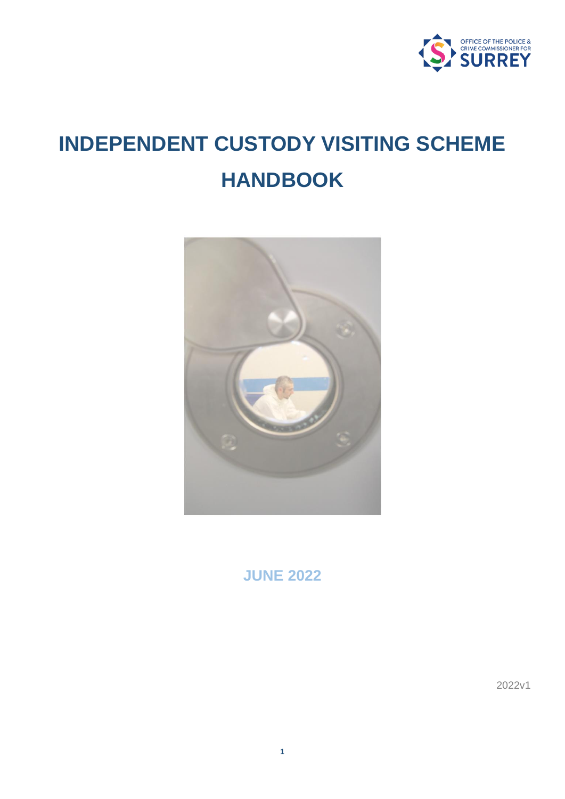

# **INDEPENDENT CUSTODY VISITING SCHEME HANDBOOK**



**JUNE 2022**

2022v1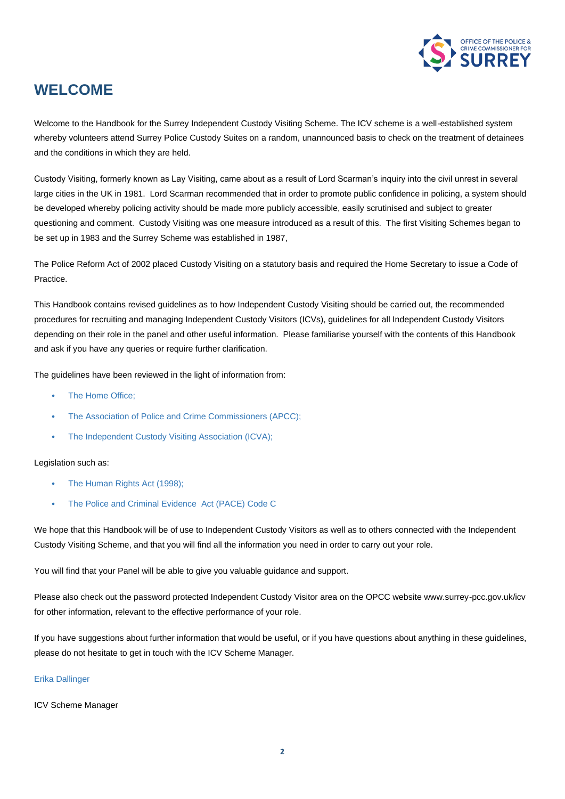

### **WELCOME**

Welcome to the Handbook for the Surrey Independent Custody Visiting Scheme. The ICV scheme is a well-established system whereby volunteers attend Surrey Police Custody Suites on a random, unannounced basis to check on the treatment of detainees and the conditions in which they are held.

Custody Visiting, formerly known as Lay Visiting, came about as a result of Lord Scarman's inquiry into the civil unrest in several large cities in the UK in 1981. Lord Scarman recommended that in order to promote public confidence in policing, a system should be developed whereby policing activity should be made more publicly accessible, easily scrutinised and subject to greater questioning and comment. Custody Visiting was one measure introduced as a result of this. The first Visiting Schemes began to be set up in 1983 and the Surrey Scheme was established in 1987,

The Police Reform Act of 2002 placed Custody Visiting on a statutory basis and required the Home Secretary to issue a Code of **Practice** 

This Handbook contains revised guidelines as to how Independent Custody Visiting should be carried out, the recommended procedures for recruiting and managing Independent Custody Visitors (ICVs), guidelines for all Independent Custody Visitors depending on their role in the panel and other useful information. Please familiarise yourself with the contents of this Handbook and ask if you have any queries or require further clarification.

The guidelines have been reviewed in the light of information from:

- The Home Office:
- The Association of Police and Crime Commissioners (APCC);
- The Independent Custody Visiting Association (ICVA);

#### Legislation such as:

- The Human Rights Act (1998);
- The Police and Criminal Evidence Act (PACE) Code C

We hope that this Handbook will be of use to Independent Custody Visitors as well as to others connected with the Independent Custody Visiting Scheme, and that you will find all the information you need in order to carry out your role.

You will find that your Panel will be able to give you valuable guidance and support.

Please also check out the password protected Independent Custody Visitor area on the OPCC website www.surrey-pcc.gov.uk/icv for other information, relevant to the effective performance of your role.

If you have suggestions about further information that would be useful, or if you have questions about anything in these guidelines, please do not hesitate to get in touch with the ICV Scheme Manager.

#### Erika Dallinger

ICV Scheme Manager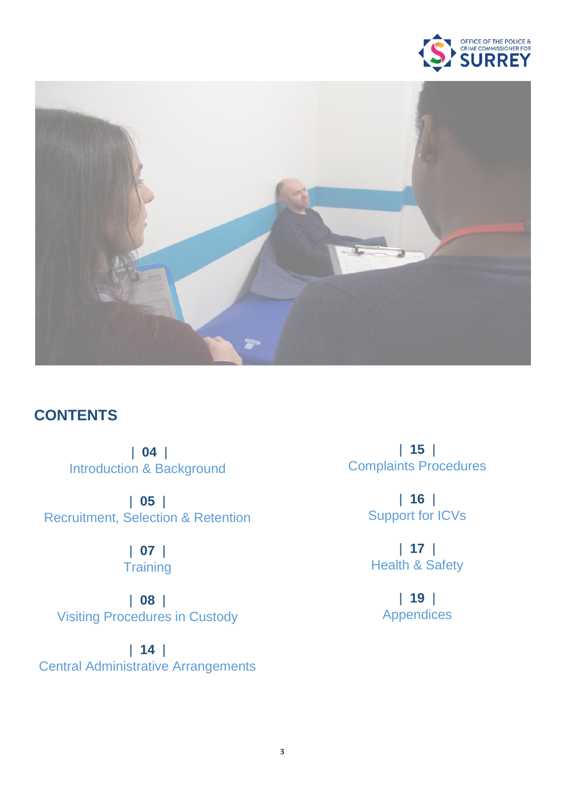



### **CONTENTS**

| **04** | Introduction & Background

| **05** | Recruitment, Selection & Retention

> | **07** | **Training**

| **08** | Visiting Procedures in Custody

| **14** | Central Administrative Arrangements

| **15** | Complaints Procedures

> | **16** | Support for ICVs

| **17** | Health & Safety

> | **19** | Appendices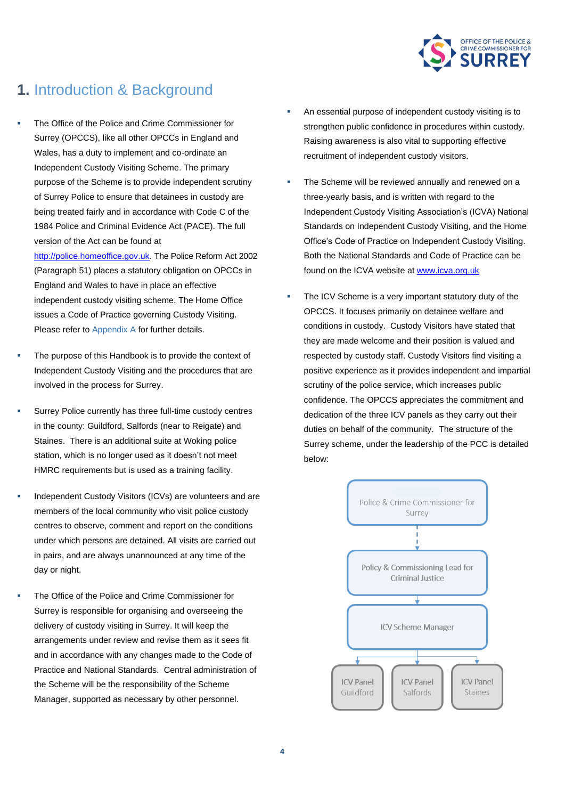

### **1.** Introduction & Background

The Office of the Police and Crime Commissioner for Surrey (OPCCS), like all other OPCCs in England and Wales, has a duty to implement and co-ordinate an Independent Custody Visiting Scheme. The primary purpose of the Scheme is to provide independent scrutiny of Surrey Police to ensure that detainees in custody are being treated fairly and in accordance with Code C of the 1984 Police and Criminal Evidence Act (PACE). The full version of the Act can be found at

[http://police.homeoffice.gov.uk.](http://police.homeoffice.gov.uk/) The Police Reform Act 2002 (Paragraph 51) places a statutory obligation on OPCCs in England and Wales to have in place an effective independent custody visiting scheme. The Home Office issues a Code of Practice governing Custody Visiting. Please refer to Appendix A for further details.

- The purpose of this Handbook is to provide the context of Independent Custody Visiting and the procedures that are involved in the process for Surrey.
- Surrey Police currently has three full-time custody centres in the county: Guildford, Salfords (near to Reigate) and Staines. There is an additional suite at Woking police station, which is no longer used as it doesn't not meet HMRC requirements but is used as a training facility.
- Independent Custody Visitors (ICVs) are volunteers and are members of the local community who visit police custody centres to observe, comment and report on the conditions under which persons are detained. All visits are carried out in pairs, and are always unannounced at any time of the day or night.
- The Office of the Police and Crime Commissioner for Surrey is responsible for organising and overseeing the delivery of custody visiting in Surrey. It will keep the arrangements under review and revise them as it sees fit and in accordance with any changes made to the Code of Practice and National Standards. Central administration of the Scheme will be the responsibility of the Scheme Manager, supported as necessary by other personnel.
- An essential purpose of independent custody visiting is to strengthen public confidence in procedures within custody. Raising awareness is also vital to supporting effective recruitment of independent custody visitors.
- The Scheme will be reviewed annually and renewed on a three-yearly basis, and is written with regard to the Independent Custody Visiting Association's (ICVA) National Standards on Independent Custody Visiting, and the Home Office's Code of Practice on Independent Custody Visiting. Both the National Standards and Code of Practice can be found on the ICVA website at [www.icva.org.uk](http://www.icva.org.uk/)
- The ICV Scheme is a very important statutory duty of the OPCCS. It focuses primarily on detainee welfare and conditions in custody. Custody Visitors have stated that they are made welcome and their position is valued and respected by custody staff. Custody Visitors find visiting a positive experience as it provides independent and impartial scrutiny of the police service, which increases public confidence. The OPCCS appreciates the commitment and dedication of the three ICV panels as they carry out their duties on behalf of the community. The structure of the Surrey scheme, under the leadership of the PCC is detailed below:

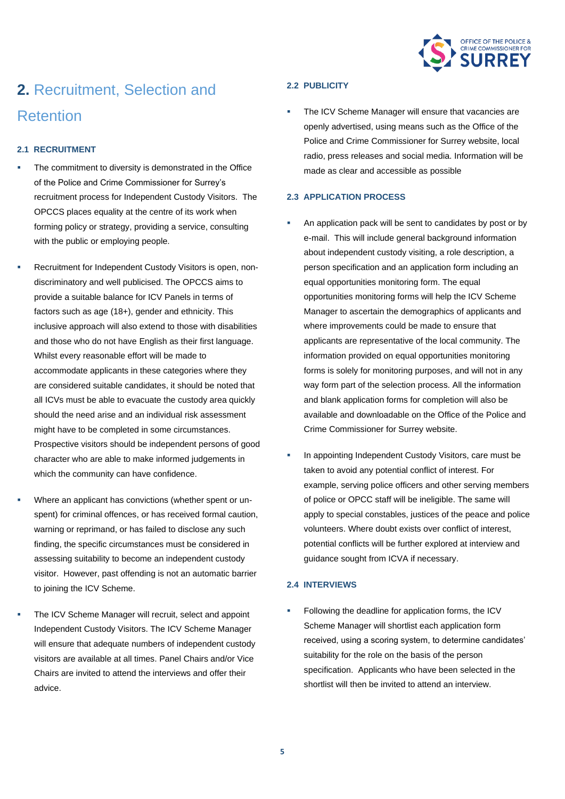

## **2.** Recruitment, Selection and Retention

#### **2.1 RECRUITMENT**

- The commitment to diversity is demonstrated in the Office of the Police and Crime Commissioner for Surrey's recruitment process for Independent Custody Visitors. The OPCCS places equality at the centre of its work when forming policy or strategy, providing a service, consulting with the public or employing people.
- Recruitment for Independent Custody Visitors is open, nondiscriminatory and well publicised. The OPCCS aims to provide a suitable balance for ICV Panels in terms of factors such as age (18+), gender and ethnicity. This inclusive approach will also extend to those with disabilities and those who do not have English as their first language. Whilst every reasonable effort will be made to accommodate applicants in these categories where they are considered suitable candidates, it should be noted that all ICVs must be able to evacuate the custody area quickly should the need arise and an individual risk assessment might have to be completed in some circumstances. Prospective visitors should be independent persons of good character who are able to make informed judgements in which the community can have confidence.
- Where an applicant has convictions (whether spent or unspent) for criminal offences, or has received formal caution, warning or reprimand, or has failed to disclose any such finding, the specific circumstances must be considered in assessing suitability to become an independent custody visitor. However, past offending is not an automatic barrier to joining the ICV Scheme.
- The ICV Scheme Manager will recruit, select and appoint Independent Custody Visitors. The ICV Scheme Manager will ensure that adequate numbers of independent custody visitors are available at all times. Panel Chairs and/or Vice Chairs are invited to attend the interviews and offer their advice.

#### **2.2 PUBLICITY**

The ICV Scheme Manager will ensure that vacancies are openly advertised, using means such as the Office of the Police and Crime Commissioner for Surrey website, local radio, press releases and social media. Information will be made as clear and accessible as possible

#### **2.3 APPLICATION PROCESS**

- An application pack will be sent to candidates by post or by e-mail. This will include general background information about independent custody visiting, a role description, a person specification and an application form including an equal opportunities monitoring form. The equal opportunities monitoring forms will help the ICV Scheme Manager to ascertain the demographics of applicants and where improvements could be made to ensure that applicants are representative of the local community. The information provided on equal opportunities monitoring forms is solely for monitoring purposes, and will not in any way form part of the selection process. All the information and blank application forms for completion will also be available and downloadable on the Office of the Police and Crime Commissioner for Surrey website.
- In appointing Independent Custody Visitors, care must be taken to avoid any potential conflict of interest. For example, serving police officers and other serving members of police or OPCC staff will be ineligible. The same will apply to special constables, justices of the peace and police volunteers. Where doubt exists over conflict of interest, potential conflicts will be further explored at interview and guidance sought from ICVA if necessary.

#### **2.4 INTERVIEWS**

Following the deadline for application forms, the ICV Scheme Manager will shortlist each application form received, using a scoring system, to determine candidates' suitability for the role on the basis of the person specification. Applicants who have been selected in the shortlist will then be invited to attend an interview.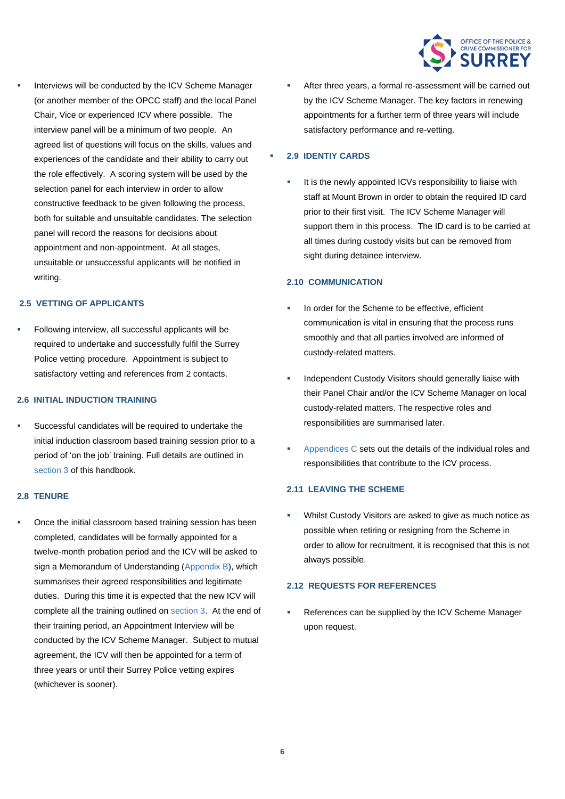

Interviews will be conducted by the ICV Scheme Manager (or another member of the OPCC staff) and the local Panel Chair, Vice or experienced ICV where possible. The interview panel will be a minimum of two people. An agreed list of questions will focus on the skills, values and experiences of the candidate and their ability to carry out the role effectively. A scoring system will be used by the selection panel for each interview in order to allow constructive feedback to be given following the process, both for suitable and unsuitable candidates. The selection panel will record the reasons for decisions about appointment and non-appointment. At all stages, unsuitable or unsuccessful applicants will be notified in writing.

#### **2.5 VETTING OF APPLICANTS**

▪ Following interview, all successful applicants will be required to undertake and successfully fulfil the Surrey Police vetting procedure. Appointment is subject to satisfactory vetting and references from 2 contacts.

#### **2.6 INITIAL INDUCTION TRAINING**

Successful candidates will be required to undertake the initial induction classroom based training session prior to a period of 'on the job' training. Full details are outlined in section 3 of this handbook.

#### **2.8 TENURE**

Once the initial classroom based training session has been completed, candidates will be formally appointed for a twelve-month probation period and the ICV will be asked to sign a Memorandum of Understanding (Appendix B), which summarises their agreed responsibilities and legitimate duties. During this time it is expected that the new ICV will complete all the training outlined on section 3. At the end of their training period, an Appointment Interview will be conducted by the ICV Scheme Manager. Subject to mutual agreement, the ICV will then be appointed for a term of three years or until their Surrey Police vetting expires (whichever is sooner).

After three years, a formal re-assessment will be carried out by the ICV Scheme Manager. The key factors in renewing appointments for a further term of three years will include satisfactory performance and re-vetting.

#### ▪ **2.9 IDENTIY CARDS**

It is the newly appointed ICVs responsibility to liaise with staff at Mount Brown in order to obtain the required ID card prior to their first visit. The ICV Scheme Manager will support them in this process. The ID card is to be carried at all times during custody visits but can be removed from sight during detainee interview.

#### **2.10 COMMUNICATION**

- In order for the Scheme to be effective, efficient communication is vital in ensuring that the process runs smoothly and that all parties involved are informed of custody-related matters.
- Independent Custody Visitors should generally liaise with their Panel Chair and/or the ICV Scheme Manager on local custody-related matters. The respective roles and responsibilities are summarised later.
- Appendices C sets out the details of the individual roles and responsibilities that contribute to the ICV process.

#### **2.11 LEAVING THE SCHEME**

Whilst Custody Visitors are asked to give as much notice as possible when retiring or resigning from the Scheme in order to allow for recruitment, it is recognised that this is not always possible.

#### **2.12 REQUESTS FOR REFERENCES**

References can be supplied by the ICV Scheme Manager upon request.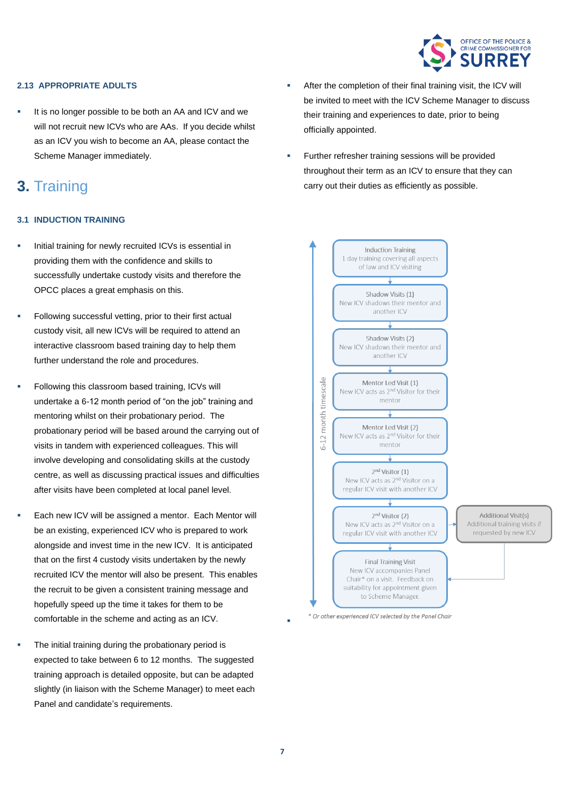

#### **2.13 APPROPRIATE ADULTS**

It is no longer possible to be both an AA and ICV and we will not recruit new ICVs who are AAs. If you decide whilst as an ICV you wish to become an AA, please contact the Scheme Manager immediately.

### **3.** Training

#### **3.1 INDUCTION TRAINING**

- Initial training for newly recruited ICVs is essential in providing them with the confidence and skills to successfully undertake custody visits and therefore the OPCC places a great emphasis on this.
- Following successful vetting, prior to their first actual custody visit, all new ICVs will be required to attend an interactive classroom based training day to help them further understand the role and procedures.
- Following this classroom based training, ICVs will undertake a 6-12 month period of "on the job" training and mentoring whilst on their probationary period. The probationary period will be based around the carrying out of visits in tandem with experienced colleagues. This will involve developing and consolidating skills at the custody centre, as well as discussing practical issues and difficulties after visits have been completed at local panel level.
- Each new ICV will be assigned a mentor. Each Mentor will be an existing, experienced ICV who is prepared to work alongside and invest time in the new ICV. It is anticipated that on the first 4 custody visits undertaken by the newly recruited ICV the mentor will also be present. This enables the recruit to be given a consistent training message and hopefully speed up the time it takes for them to be comfortable in the scheme and acting as an ICV.
- The initial training during the probationary period is expected to take between 6 to 12 months. The suggested training approach is detailed opposite, but can be adapted slightly (in liaison with the Scheme Manager) to meet each Panel and candidate's requirements.
- After the completion of their final training visit, the ICV will be invited to meet with the ICV Scheme Manager to discuss their training and experiences to date, prior to being officially appointed.
- Further refresher training sessions will be provided throughout their term as an ICV to ensure that they can carry out their duties as efficiently as possible.



\* Or other experienced ICV selected by the Panel Chair

▪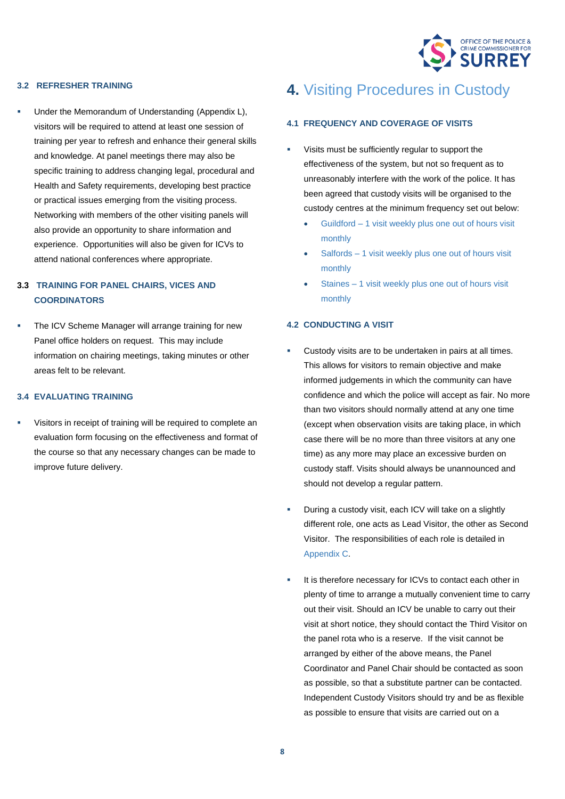

#### **3.2 REFRESHER TRAINING**

Under the Memorandum of Understanding (Appendix L), visitors will be required to attend at least one session of training per year to refresh and enhance their general skills and knowledge. At panel meetings there may also be specific training to address changing legal, procedural and Health and Safety requirements, developing best practice or practical issues emerging from the visiting process. Networking with members of the other visiting panels will also provide an opportunity to share information and experience. Opportunities will also be given for ICVs to attend national conferences where appropriate.

#### **3.3 TRAINING FOR PANEL CHAIRS, VICES AND COORDINATORS**

The ICV Scheme Manager will arrange training for new Panel office holders on request. This may include information on chairing meetings, taking minutes or other areas felt to be relevant.

#### **3.4 EVALUATING TRAINING**

Visitors in receipt of training will be required to complete an evaluation form focusing on the effectiveness and format of the course so that any necessary changes can be made to improve future delivery.

## **4.** Visiting Procedures in Custody

#### **4.1 FREQUENCY AND COVERAGE OF VISITS**

- Visits must be sufficiently regular to support the effectiveness of the system, but not so frequent as to unreasonably interfere with the work of the police. It has been agreed that custody visits will be organised to the custody centres at the minimum frequency set out below:
	- Guildford 1 visit weekly plus one out of hours visit monthly
	- Salfords 1 visit weekly plus one out of hours visit monthly
	- Staines 1 visit weekly plus one out of hours visit monthly

#### **4.2 CONDUCTING A VISIT**

- Custody visits are to be undertaken in pairs at all times. This allows for visitors to remain objective and make informed judgements in which the community can have confidence and which the police will accept as fair. No more than two visitors should normally attend at any one time (except when observation visits are taking place, in which case there will be no more than three visitors at any one time) as any more may place an excessive burden on custody staff. Visits should always be unannounced and should not develop a regular pattern.
- During a custody visit, each ICV will take on a slightly different role, one acts as Lead Visitor, the other as Second Visitor. The responsibilities of each role is detailed in Appendix C.
- It is therefore necessary for ICVs to contact each other in plenty of time to arrange a mutually convenient time to carry out their visit. Should an ICV be unable to carry out their visit at short notice, they should contact the Third Visitor on the panel rota who is a reserve. If the visit cannot be arranged by either of the above means, the Panel Coordinator and Panel Chair should be contacted as soon as possible, so that a substitute partner can be contacted. Independent Custody Visitors should try and be as flexible as possible to ensure that visits are carried out on a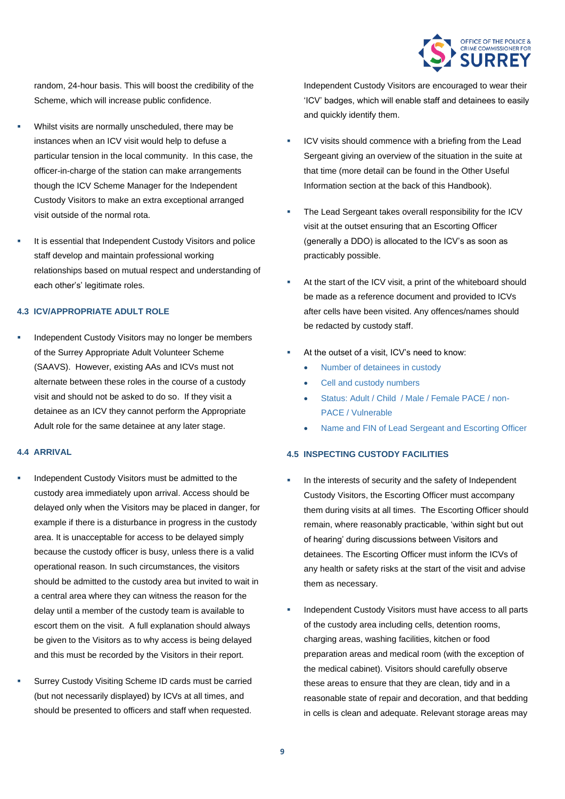

random, 24-hour basis. This will boost the credibility of the Scheme, which will increase public confidence.

- Whilst visits are normally unscheduled, there may be instances when an ICV visit would help to defuse a particular tension in the local community. In this case, the officer-in-charge of the station can make arrangements though the ICV Scheme Manager for the Independent Custody Visitors to make an extra exceptional arranged visit outside of the normal rota.
- It is essential that Independent Custody Visitors and police staff develop and maintain professional working relationships based on mutual respect and understanding of each other's' legitimate roles.

#### **4.3 ICV/APPROPRIATE ADULT ROLE**

Independent Custody Visitors may no longer be members of the Surrey Appropriate Adult Volunteer Scheme (SAAVS). However, existing AAs and ICVs must not alternate between these roles in the course of a custody visit and should not be asked to do so. If they visit a detainee as an ICV they cannot perform the Appropriate Adult role for the same detainee at any later stage.

#### **4.4 ARRIVAL**

- Independent Custody Visitors must be admitted to the custody area immediately upon arrival. Access should be delayed only when the Visitors may be placed in danger, for example if there is a disturbance in progress in the custody area. It is unacceptable for access to be delayed simply because the custody officer is busy, unless there is a valid operational reason. In such circumstances, the visitors should be admitted to the custody area but invited to wait in a central area where they can witness the reason for the delay until a member of the custody team is available to escort them on the visit. A full explanation should always be given to the Visitors as to why access is being delayed and this must be recorded by the Visitors in their report.
- Surrey Custody Visiting Scheme ID cards must be carried (but not necessarily displayed) by ICVs at all times, and should be presented to officers and staff when requested.

Independent Custody Visitors are encouraged to wear their 'ICV' badges, which will enable staff and detainees to easily and quickly identify them.

- ICV visits should commence with a briefing from the Lead Sergeant giving an overview of the situation in the suite at that time (more detail can be found in the Other Useful Information section at the back of this Handbook).
- The Lead Sergeant takes overall responsibility for the ICV visit at the outset ensuring that an Escorting Officer (generally a DDO) is allocated to the ICV's as soon as practicably possible.
- At the start of the ICV visit, a print of the whiteboard should be made as a reference document and provided to ICVs after cells have been visited. Any offences/names should be redacted by custody staff.
- At the outset of a visit, ICV's need to know:
	- Number of detainees in custody
	- Cell and custody numbers
	- Status: Adult / Child / Male / Female PACE / non-PACE / Vulnerable
	- Name and FIN of Lead Sergeant and Escorting Officer

#### **4.5 INSPECTING CUSTODY FACILITIES**

- In the interests of security and the safety of Independent Custody Visitors, the Escorting Officer must accompany them during visits at all times. The Escorting Officer should remain, where reasonably practicable, 'within sight but out of hearing' during discussions between Visitors and detainees. The Escorting Officer must inform the ICVs of any health or safety risks at the start of the visit and advise them as necessary.
- Independent Custody Visitors must have access to all parts of the custody area including cells, detention rooms, charging areas, washing facilities, kitchen or food preparation areas and medical room (with the exception of the medical cabinet). Visitors should carefully observe these areas to ensure that they are clean, tidy and in a reasonable state of repair and decoration, and that bedding in cells is clean and adequate. Relevant storage areas may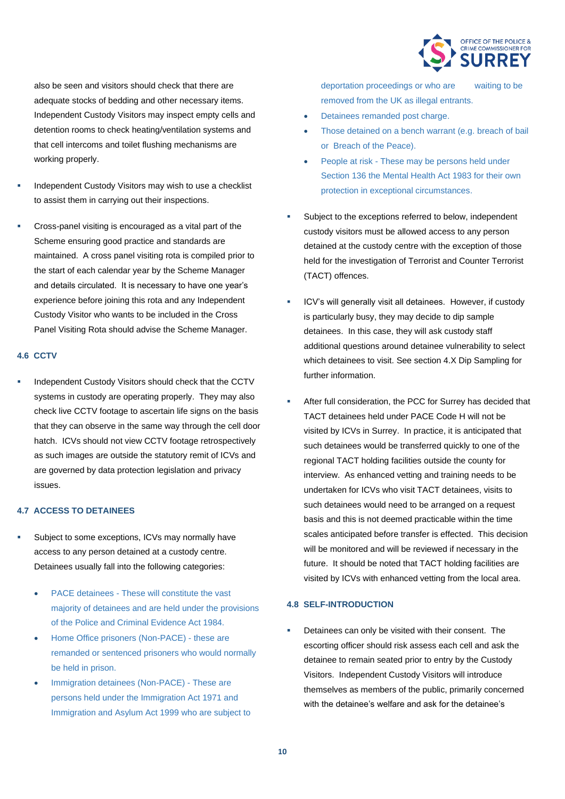

also be seen and visitors should check that there are adequate stocks of bedding and other necessary items. Independent Custody Visitors may inspect empty cells and detention rooms to check heating/ventilation systems and that cell intercoms and toilet flushing mechanisms are working properly.

- Independent Custody Visitors may wish to use a checklist to assist them in carrying out their inspections.
- Cross-panel visiting is encouraged as a vital part of the Scheme ensuring good practice and standards are maintained. A cross panel visiting rota is compiled prior to the start of each calendar year by the Scheme Manager and details circulated. It is necessary to have one year's experience before joining this rota and any Independent Custody Visitor who wants to be included in the Cross Panel Visiting Rota should advise the Scheme Manager.

#### **4.6 CCTV**

Independent Custody Visitors should check that the CCTV systems in custody are operating properly. They may also check live CCTV footage to ascertain life signs on the basis that they can observe in the same way through the cell door hatch. ICVs should not view CCTV footage retrospectively as such images are outside the statutory remit of ICVs and are governed by data protection legislation and privacy issues.

#### **4.7 ACCESS TO DETAINEES**

- Subject to some exceptions, ICVs may normally have access to any person detained at a custody centre. Detainees usually fall into the following categories:
	- PACE detainees These will constitute the vast majority of detainees and are held under the provisions of the Police and Criminal Evidence Act 1984.
	- Home Office prisoners (Non-PACE) these are remanded or sentenced prisoners who would normally be held in prison.
	- Immigration detainees (Non-PACE) These are persons held under the Immigration Act 1971 and Immigration and Asylum Act 1999 who are subject to

deportation proceedings or who are waiting to be removed from the UK as illegal entrants.

- Detainees remanded post charge.
- Those detained on a bench warrant (e.g. breach of bail or Breach of the Peace).
- People at risk These may be persons held under Section 136 the Mental Health Act 1983 for their own protection in exceptional circumstances.
- Subject to the exceptions referred to below, independent custody visitors must be allowed access to any person detained at the custody centre with the exception of those held for the investigation of Terrorist and Counter Terrorist (TACT) offences.
- ICV's will generally visit all detainees. However, if custody is particularly busy, they may decide to dip sample detainees. In this case, they will ask custody staff additional questions around detainee vulnerability to select which detainees to visit. See section 4.X Dip Sampling for further information.
- After full consideration, the PCC for Surrey has decided that TACT detainees held under PACE Code H will not be visited by ICVs in Surrey. In practice, it is anticipated that such detainees would be transferred quickly to one of the regional TACT holding facilities outside the county for interview. As enhanced vetting and training needs to be undertaken for ICVs who visit TACT detainees, visits to such detainees would need to be arranged on a request basis and this is not deemed practicable within the time scales anticipated before transfer is effected. This decision will be monitored and will be reviewed if necessary in the future. It should be noted that TACT holding facilities are visited by ICVs with enhanced vetting from the local area.

#### **4.8 SELF-INTRODUCTION**

Detainees can only be visited with their consent. The escorting officer should risk assess each cell and ask the detainee to remain seated prior to entry by the Custody Visitors. Independent Custody Visitors will introduce themselves as members of the public, primarily concerned with the detainee's welfare and ask for the detainee's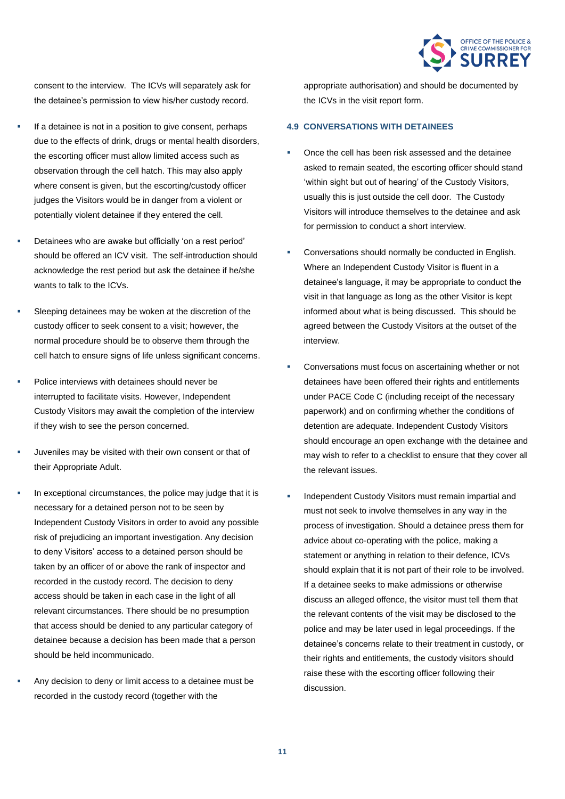

consent to the interview. The ICVs will separately ask for the detainee's permission to view his/her custody record.

- If a detainee is not in a position to give consent, perhaps due to the effects of drink, drugs or mental health disorders, the escorting officer must allow limited access such as observation through the cell hatch. This may also apply where consent is given, but the escorting/custody officer judges the Visitors would be in danger from a violent or potentially violent detainee if they entered the cell.
- Detainees who are awake but officially 'on a rest period' should be offered an ICV visit. The self-introduction should acknowledge the rest period but ask the detainee if he/she wants to talk to the ICVs.
- Sleeping detainees may be woken at the discretion of the custody officer to seek consent to a visit; however, the normal procedure should be to observe them through the cell hatch to ensure signs of life unless significant concerns.
- Police interviews with detainees should never be interrupted to facilitate visits. However, Independent Custody Visitors may await the completion of the interview if they wish to see the person concerned.
- Juveniles may be visited with their own consent or that of their Appropriate Adult.
- In exceptional circumstances, the police may judge that it is necessary for a detained person not to be seen by Independent Custody Visitors in order to avoid any possible risk of prejudicing an important investigation. Any decision to deny Visitors' access to a detained person should be taken by an officer of or above the rank of inspector and recorded in the custody record. The decision to deny access should be taken in each case in the light of all relevant circumstances. There should be no presumption that access should be denied to any particular category of detainee because a decision has been made that a person should be held incommunicado.
- Any decision to deny or limit access to a detainee must be recorded in the custody record (together with the

appropriate authorisation) and should be documented by the ICVs in the visit report form.

#### **4.9 CONVERSATIONS WITH DETAINEES**

- Once the cell has been risk assessed and the detainee asked to remain seated, the escorting officer should stand 'within sight but out of hearing' of the Custody Visitors, usually this is just outside the cell door. The Custody Visitors will introduce themselves to the detainee and ask for permission to conduct a short interview.
- Conversations should normally be conducted in English. Where an Independent Custody Visitor is fluent in a detainee's language, it may be appropriate to conduct the visit in that language as long as the other Visitor is kept informed about what is being discussed. This should be agreed between the Custody Visitors at the outset of the interview.
- Conversations must focus on ascertaining whether or not detainees have been offered their rights and entitlements under PACE Code C (including receipt of the necessary paperwork) and on confirming whether the conditions of detention are adequate. Independent Custody Visitors should encourage an open exchange with the detainee and may wish to refer to a checklist to ensure that they cover all the relevant issues.
- Independent Custody Visitors must remain impartial and must not seek to involve themselves in any way in the process of investigation. Should a detainee press them for advice about co-operating with the police, making a statement or anything in relation to their defence, ICVs should explain that it is not part of their role to be involved. If a detainee seeks to make admissions or otherwise discuss an alleged offence, the visitor must tell them that the relevant contents of the visit may be disclosed to the police and may be later used in legal proceedings. If the detainee's concerns relate to their treatment in custody, or their rights and entitlements, the custody visitors should raise these with the escorting officer following their discussion.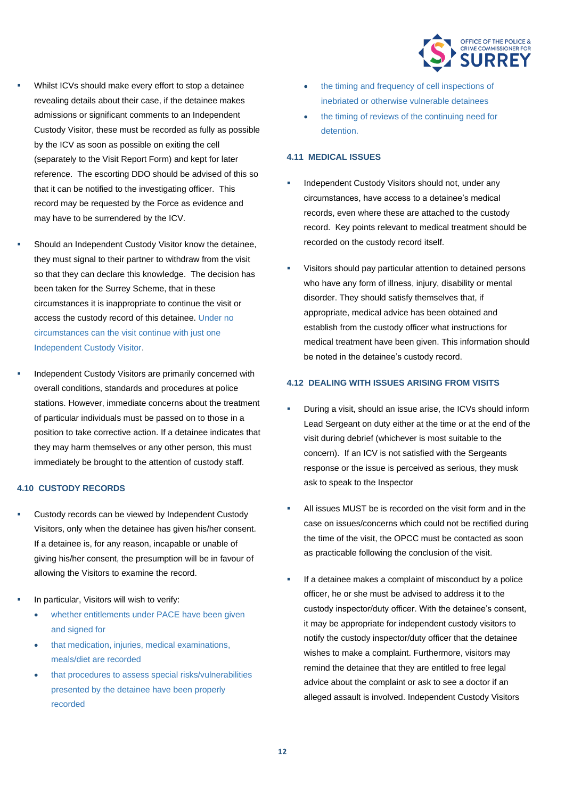

- Whilst ICVs should make every effort to stop a detainee revealing details about their case, if the detainee makes admissions or significant comments to an Independent Custody Visitor, these must be recorded as fully as possible by the ICV as soon as possible on exiting the cell (separately to the Visit Report Form) and kept for later reference. The escorting DDO should be advised of this so that it can be notified to the investigating officer. This record may be requested by the Force as evidence and may have to be surrendered by the ICV.
- Should an Independent Custody Visitor know the detainee, they must signal to their partner to withdraw from the visit so that they can declare this knowledge. The decision has been taken for the Surrey Scheme, that in these circumstances it is inappropriate to continue the visit or access the custody record of this detainee. Under no circumstances can the visit continue with just one Independent Custody Visitor.
- Independent Custody Visitors are primarily concerned with overall conditions, standards and procedures at police stations. However, immediate concerns about the treatment of particular individuals must be passed on to those in a position to take corrective action. If a detainee indicates that they may harm themselves or any other person, this must immediately be brought to the attention of custody staff.

#### **4.10 CUSTODY RECORDS**

- Custody records can be viewed by Independent Custody Visitors, only when the detainee has given his/her consent. If a detainee is, for any reason, incapable or unable of giving his/her consent, the presumption will be in favour of allowing the Visitors to examine the record.
- In particular, Visitors will wish to verify:
	- whether entitlements under PACE have been given and signed for
	- that medication, injuries, medical examinations, meals/diet are recorded
	- that procedures to assess special risks/vulnerabilities presented by the detainee have been properly recorded
- the timing and frequency of cell inspections of inebriated or otherwise vulnerable detainees
- the timing of reviews of the continuing need for detention.

#### **4.11 MEDICAL ISSUES**

- Independent Custody Visitors should not, under any circumstances, have access to a detainee's medical records, even where these are attached to the custody record. Key points relevant to medical treatment should be recorded on the custody record itself.
- Visitors should pay particular attention to detained persons who have any form of illness, injury, disability or mental disorder. They should satisfy themselves that, if appropriate, medical advice has been obtained and establish from the custody officer what instructions for medical treatment have been given. This information should be noted in the detainee's custody record.

#### **4.12 DEALING WITH ISSUES ARISING FROM VISITS**

- During a visit, should an issue arise, the ICVs should inform Lead Sergeant on duty either at the time or at the end of the visit during debrief (whichever is most suitable to the concern). If an ICV is not satisfied with the Sergeants response or the issue is perceived as serious, they musk ask to speak to the Inspector
- All issues MUST be is recorded on the visit form and in the case on issues/concerns which could not be rectified during the time of the visit, the OPCC must be contacted as soon as practicable following the conclusion of the visit.
- If a detainee makes a complaint of misconduct by a police officer, he or she must be advised to address it to the custody inspector/duty officer. With the detainee's consent, it may be appropriate for independent custody visitors to notify the custody inspector/duty officer that the detainee wishes to make a complaint. Furthermore, visitors may remind the detainee that they are entitled to free legal advice about the complaint or ask to see a doctor if an alleged assault is involved. Independent Custody Visitors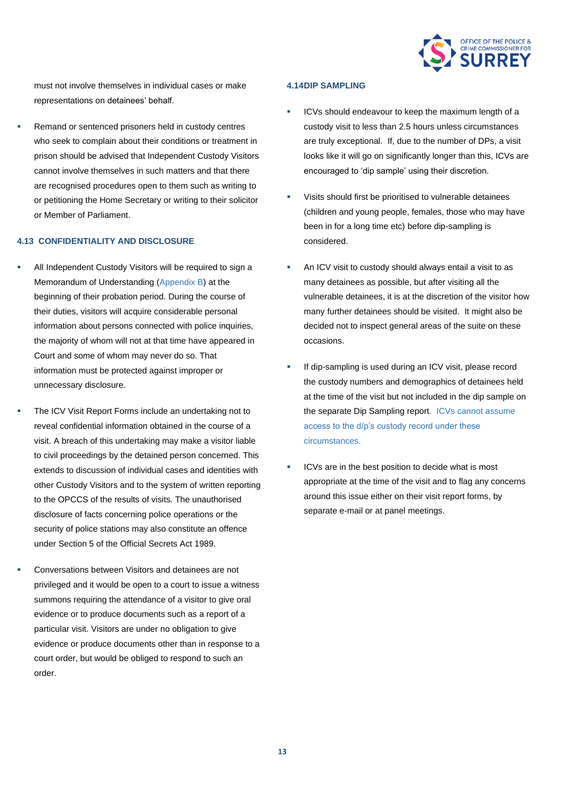

must not involve themselves in individual cases or make representations on detainees' behalf.

Remand or sentenced prisoners held in custody centres who seek to complain about their conditions or treatment in prison should be advised that Independent Custody Visitors cannot involve themselves in such matters and that there are recognised procedures open to them such as writing to or petitioning the Home Secretary or writing to their solicitor or Member of Parliament.

#### **4.13 CONFIDENTIALITY AND DISCLOSURE**

- All Independent Custody Visitors will be required to sign a Memorandum of Understanding (Appendix B) at the beginning of their probation period. During the course of their duties, visitors will acquire considerable personal information about persons connected with police inquiries, the majority of whom will not at that time have appeared in Court and some of whom may never do so. That information must be protected against improper or unnecessary disclosure.
- The ICV Visit Report Forms include an undertaking not to reveal confidential information obtained in the course of a visit. A breach of this undertaking may make a visitor liable to civil proceedings by the detained person concerned. This extends to discussion of individual cases and identities with other Custody Visitors and to the system of written reporting to the OPCCS of the results of visits. The unauthorised disclosure of facts concerning police operations or the security of police stations may also constitute an offence under Section 5 of the Official Secrets Act 1989.
- Conversations between Visitors and detainees are not privileged and it would be open to a court to issue a witness summons requiring the attendance of a visitor to give oral evidence or to produce documents such as a report of a particular visit. Visitors are under no obligation to give evidence or produce documents other than in response to a court order, but would be obliged to respond to such an order.

#### **4.14DIP SAMPLING**

- ICVs should endeavour to keep the maximum length of a custody visit to less than 2.5 hours unless circumstances are truly exceptional. If, due to the number of DPs, a visit looks like it will go on significantly longer than this, ICVs are encouraged to 'dip sample' using their discretion.
- Visits should first be prioritised to vulnerable detainees (children and young people, females, those who may have been in for a long time etc) before dip-sampling is considered.
- An ICV visit to custody should always entail a visit to as many detainees as possible, but after visiting all the vulnerable detainees, it is at the discretion of the visitor how many further detainees should be visited. It might also be decided not to inspect general areas of the suite on these occasions.
- If dip-sampling is used during an ICV visit, please record the custody numbers and demographics of detainees held at the time of the visit but not included in the dip sample on the separate Dip Sampling report. ICVs cannot assume access to the d/p's custody record under these circumstances.
- ICVs are in the best position to decide what is most appropriate at the time of the visit and to flag any concerns around this issue either on their visit report forms, by separate e-mail or at panel meetings.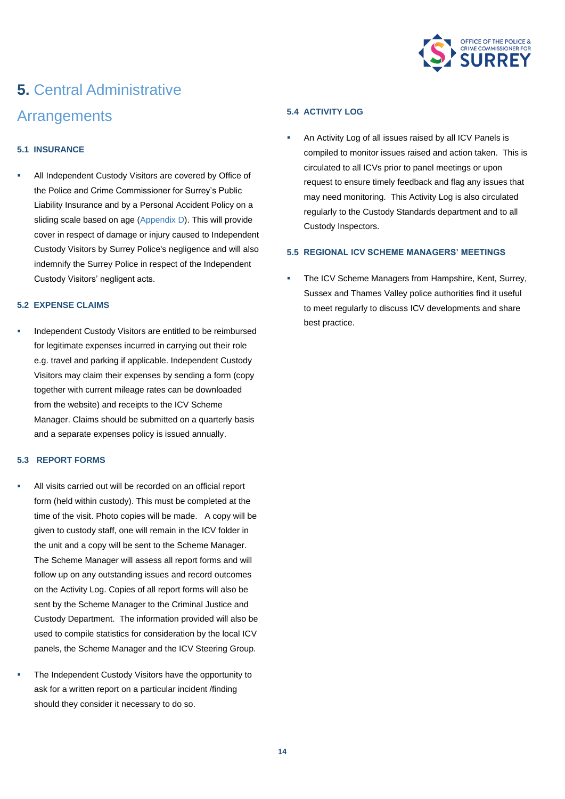

## **5.** Central Administrative **Arrangements**

#### **5.1 INSURANCE**

All Independent Custody Visitors are covered by Office of the Police and Crime Commissioner for Surrey's Public Liability Insurance and by a Personal Accident Policy on a sliding scale based on age (Appendix D). This will provide cover in respect of damage or injury caused to Independent Custody Visitors by Surrey Police's negligence and will also indemnify the Surrey Police in respect of the Independent Custody Visitors' negligent acts.

#### **5.2 EXPENSE CLAIMS**

Independent Custody Visitors are entitled to be reimbursed for legitimate expenses incurred in carrying out their role e.g. travel and parking if applicable. Independent Custody Visitors may claim their expenses by sending a form (copy together with current mileage rates can be downloaded from the website) and receipts to the ICV Scheme Manager. Claims should be submitted on a quarterly basis and a separate expenses policy is issued annually.

#### **5.3 REPORT FORMS**

- All visits carried out will be recorded on an official report form (held within custody). This must be completed at the time of the visit. Photo copies will be made. A copy will be given to custody staff, one will remain in the ICV folder in the unit and a copy will be sent to the Scheme Manager. The Scheme Manager will assess all report forms and will follow up on any outstanding issues and record outcomes on the Activity Log. Copies of all report forms will also be sent by the Scheme Manager to the Criminal Justice and Custody Department. The information provided will also be used to compile statistics for consideration by the local ICV panels, the Scheme Manager and the ICV Steering Group.
- The Independent Custody Visitors have the opportunity to ask for a written report on a particular incident /finding should they consider it necessary to do so.

#### **5.4 ACTIVITY LOG**

An Activity Log of all issues raised by all ICV Panels is compiled to monitor issues raised and action taken. This is circulated to all ICVs prior to panel meetings or upon request to ensure timely feedback and flag any issues that may need monitoring. This Activity Log is also circulated regularly to the Custody Standards department and to all Custody Inspectors.

#### **5.5 REGIONAL ICV SCHEME MANAGERS' MEETINGS**

The ICV Scheme Managers from Hampshire, Kent, Surrey, Sussex and Thames Valley police authorities find it useful to meet regularly to discuss ICV developments and share best practice.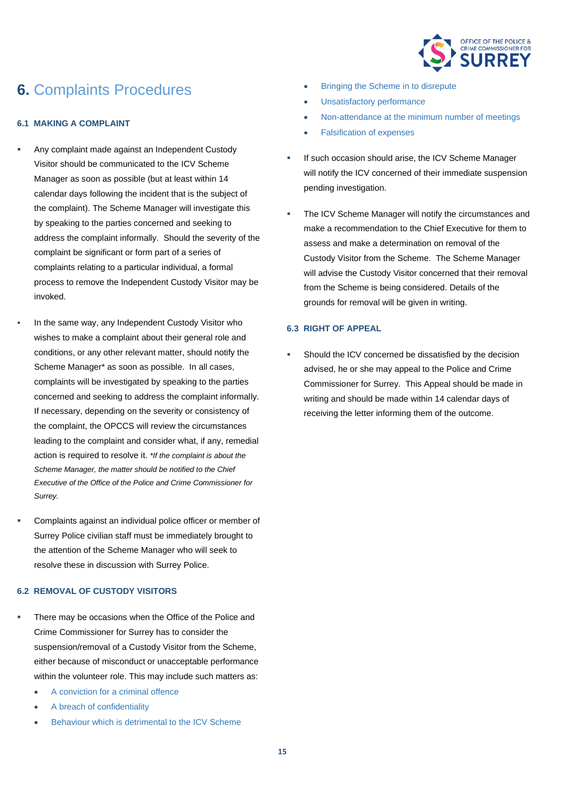

### **6.** Complaints Procedures

#### **6.1 MAKING A COMPLAINT**

- Any complaint made against an Independent Custody Visitor should be communicated to the ICV Scheme Manager as soon as possible (but at least within 14 calendar days following the incident that is the subject of the complaint). The Scheme Manager will investigate this by speaking to the parties concerned and seeking to address the complaint informally. Should the severity of the complaint be significant or form part of a series of complaints relating to a particular individual, a formal process to remove the Independent Custody Visitor may be invoked.
- In the same way, any Independent Custody Visitor who wishes to make a complaint about their general role and conditions, or any other relevant matter, should notify the Scheme Manager\* as soon as possible. In all cases, complaints will be investigated by speaking to the parties concerned and seeking to address the complaint informally. If necessary, depending on the severity or consistency of the complaint, the OPCCS will review the circumstances leading to the complaint and consider what, if any, remedial action is required to resolve it. *\*If the complaint is about the Scheme Manager, the matter should be notified to the Chief Executive of the Office of the Police and Crime Commissioner for Surrey.*
- Complaints against an individual police officer or member of Surrey Police civilian staff must be immediately brought to the attention of the Scheme Manager who will seek to resolve these in discussion with Surrey Police.

#### **6.2 REMOVAL OF CUSTODY VISITORS**

- There may be occasions when the Office of the Police and Crime Commissioner for Surrey has to consider the suspension/removal of a Custody Visitor from the Scheme, either because of misconduct or unacceptable performance within the volunteer role. This may include such matters as:
	- A conviction for a criminal offence
	- A breach of confidentiality
	- Behaviour which is detrimental to the ICV Scheme
- **Bringing the Scheme in to disrepute**
- Unsatisfactory performance
- Non-attendance at the minimum number of meetings
- Falsification of expenses
- If such occasion should arise, the ICV Scheme Manager will notify the ICV concerned of their immediate suspension pending investigation.
- The ICV Scheme Manager will notify the circumstances and make a recommendation to the Chief Executive for them to assess and make a determination on removal of the Custody Visitor from the Scheme. The Scheme Manager will advise the Custody Visitor concerned that their removal from the Scheme is being considered. Details of the grounds for removal will be given in writing.

#### **6.3 RIGHT OF APPEAL**

Should the ICV concerned be dissatisfied by the decision advised, he or she may appeal to the Police and Crime Commissioner for Surrey. This Appeal should be made in writing and should be made within 14 calendar days of receiving the letter informing them of the outcome.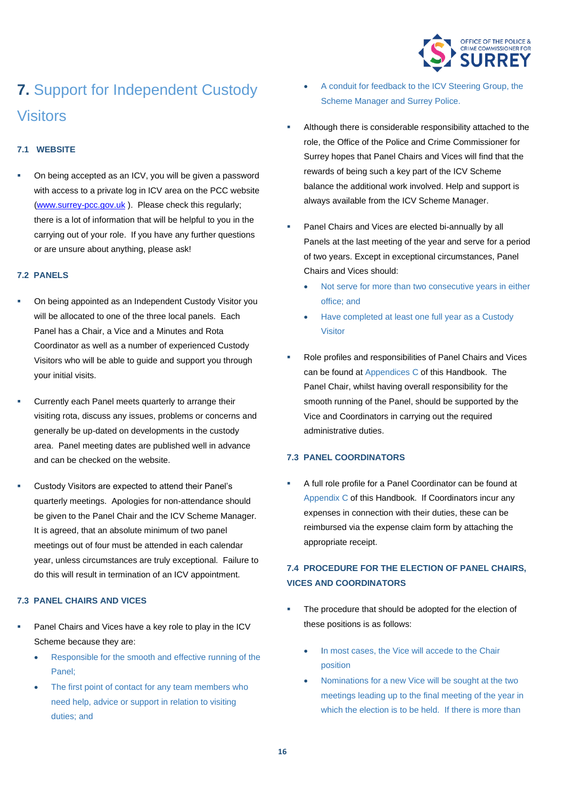

## **7.** Support for Independent Custody Visitors

#### **7.1 WEBSITE**

On being accepted as an ICV, you will be given a password with access to a private log in ICV area on the PCC website [\(www.surrey-pcc.gov.uk](http://www.surrey-pcc.gov.uk/) ). Please check this regularly; there is a lot of information that will be helpful to you in the carrying out of your role. If you have any further questions or are unsure about anything, please ask!

#### **7.2 PANELS**

- On being appointed as an Independent Custody Visitor you will be allocated to one of the three local panels. Each Panel has a Chair, a Vice and a Minutes and Rota Coordinator as well as a number of experienced Custody Visitors who will be able to guide and support you through your initial visits.
- Currently each Panel meets quarterly to arrange their visiting rota, discuss any issues, problems or concerns and generally be up-dated on developments in the custody area. Panel meeting dates are published well in advance and can be checked on the website.
- Custody Visitors are expected to attend their Panel's quarterly meetings. Apologies for non-attendance should be given to the Panel Chair and the ICV Scheme Manager. It is agreed, that an absolute minimum of two panel meetings out of four must be attended in each calendar year, unless circumstances are truly exceptional. Failure to do this will result in termination of an ICV appointment.

#### **7.3 PANEL CHAIRS AND VICES**

- Panel Chairs and Vices have a key role to play in the ICV Scheme because they are:
	- Responsible for the smooth and effective running of the Panel;
	- The first point of contact for any team members who need help, advice or support in relation to visiting duties; and
- A conduit for feedback to the ICV Steering Group, the Scheme Manager and Surrey Police.
- Although there is considerable responsibility attached to the role, the Office of the Police and Crime Commissioner for Surrey hopes that Panel Chairs and Vices will find that the rewards of being such a key part of the ICV Scheme balance the additional work involved. Help and support is always available from the ICV Scheme Manager.
- Panel Chairs and Vices are elected bi-annually by all Panels at the last meeting of the year and serve for a period of two years. Except in exceptional circumstances, Panel Chairs and Vices should:
	- Not serve for more than two consecutive years in either office; and
	- Have completed at least one full year as a Custody Visitor
- Role profiles and responsibilities of Panel Chairs and Vices can be found at Appendices C of this Handbook. The Panel Chair, whilst having overall responsibility for the smooth running of the Panel, should be supported by the Vice and Coordinators in carrying out the required administrative duties.

#### **7.3 PANEL COORDINATORS**

A full role profile for a Panel Coordinator can be found at Appendix C of this Handbook. If Coordinators incur any expenses in connection with their duties, these can be reimbursed via the expense claim form by attaching the appropriate receipt.

#### **7.4 PROCEDURE FOR THE ELECTION OF PANEL CHAIRS, VICES AND COORDINATORS**

- The procedure that should be adopted for the election of these positions is as follows:
	- In most cases, the Vice will accede to the Chair position
	- Nominations for a new Vice will be sought at the two meetings leading up to the final meeting of the year in which the election is to be held. If there is more than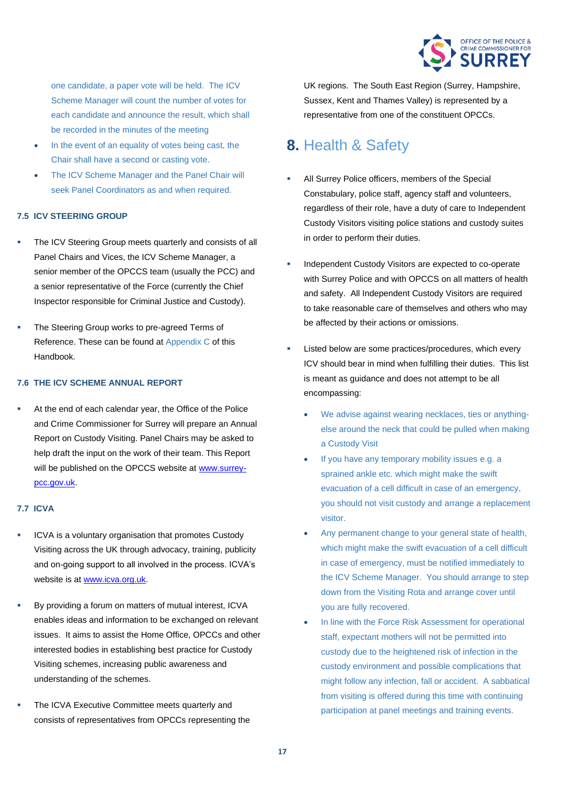

one candidate, a paper vote will be held. The ICV Scheme Manager will count the number of votes for each candidate and announce the result, which shall be recorded in the minutes of the meeting

- In the event of an equality of votes being cast, the Chair shall have a second or casting vote.
- The ICV Scheme Manager and the Panel Chair will seek Panel Coordinators as and when required.

#### **7.5 ICV STEERING GROUP**

- The ICV Steering Group meets quarterly and consists of all Panel Chairs and Vices, the ICV Scheme Manager, a senior member of the OPCCS team (usually the PCC) and a senior representative of the Force (currently the Chief Inspector responsible for Criminal Justice and Custody).
- The Steering Group works to pre-agreed Terms of Reference. These can be found at Appendix C of this Handbook.

#### **7.6 THE ICV SCHEME ANNUAL REPORT**

At the end of each calendar year, the Office of the Police and Crime Commissioner for Surrey will prepare an Annual Report on Custody Visiting. Panel Chairs may be asked to help draft the input on the work of their team. This Report will be published on the OPCCS website a[t www.surrey](http://www.surrey-pcc.gov.uk/)[pcc.gov.uk.](http://www.surrey-pcc.gov.uk/)

#### **7.7 ICVA**

- ICVA is a voluntary organisation that promotes Custody Visiting across the UK through advocacy, training, publicity and on-going support to all involved in the process. ICVA's website is at [www.icva.org.uk.](http://www.icva.org.uk/)
- By providing a forum on matters of mutual interest, ICVA enables ideas and information to be exchanged on relevant issues. It aims to assist the Home Office, OPCCs and other interested bodies in establishing best practice for Custody Visiting schemes, increasing public awareness and understanding of the schemes.
- The ICVA Executive Committee meets quarterly and consists of representatives from OPCCs representing the

UK regions. The South East Region (Surrey, Hampshire, Sussex, Kent and Thames Valley) is represented by a representative from one of the constituent OPCCs.

### **8.** Health & Safety

- All Surrey Police officers, members of the Special Constabulary, police staff, agency staff and volunteers, regardless of their role, have a duty of care to Independent Custody Visitors visiting police stations and custody suites in order to perform their duties.
- Independent Custody Visitors are expected to co-operate with Surrey Police and with OPCCS on all matters of health and safety. All Independent Custody Visitors are required to take reasonable care of themselves and others who may be affected by their actions or omissions.
- Listed below are some practices/procedures, which every ICV should bear in mind when fulfilling their duties. This list is meant as guidance and does not attempt to be all encompassing:
	- We advise against wearing necklaces, ties or anythingelse around the neck that could be pulled when making a Custody Visit
	- If you have any temporary mobility issues e.g. a sprained ankle etc. which might make the swift evacuation of a cell difficult in case of an emergency, you should not visit custody and arrange a replacement visitor.
	- Any permanent change to your general state of health, which might make the swift evacuation of a cell difficult in case of emergency, must be notified immediately to the ICV Scheme Manager. You should arrange to step down from the Visiting Rota and arrange cover until you are fully recovered.
	- In line with the Force Risk Assessment for operational staff, expectant mothers will not be permitted into custody due to the heightened risk of infection in the custody environment and possible complications that might follow any infection, fall or accident. A sabbatical from visiting is offered during this time with continuing participation at panel meetings and training events.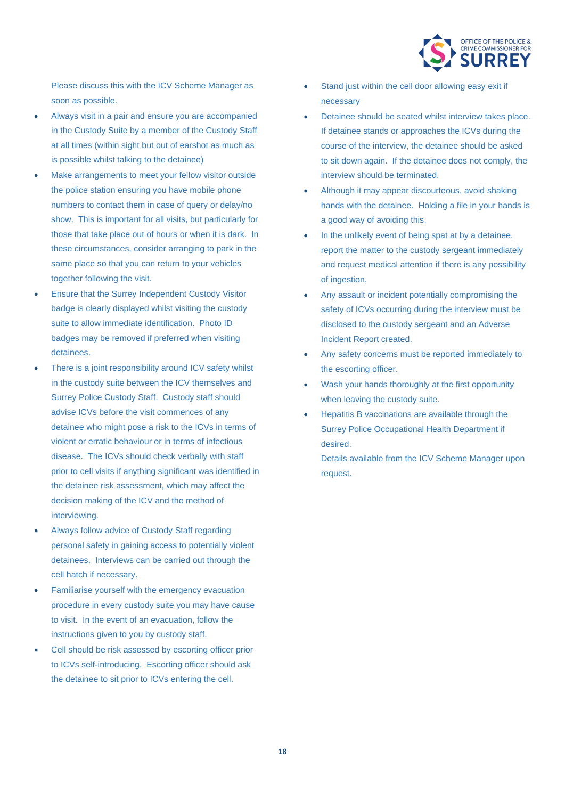

Please discuss this with the ICV Scheme Manager as soon as possible.

- Always visit in a pair and ensure you are accompanied in the Custody Suite by a member of the Custody Staff at all times (within sight but out of earshot as much as is possible whilst talking to the detainee)
- Make arrangements to meet your fellow visitor outside the police station ensuring you have mobile phone numbers to contact them in case of query or delay/no show. This is important for all visits, but particularly for those that take place out of hours or when it is dark. In these circumstances, consider arranging to park in the same place so that you can return to your vehicles together following the visit.
- Ensure that the Surrey Independent Custody Visitor badge is clearly displayed whilst visiting the custody suite to allow immediate identification. Photo ID badges may be removed if preferred when visiting detainees.
- There is a joint responsibility around ICV safety whilst in the custody suite between the ICV themselves and Surrey Police Custody Staff. Custody staff should advise ICVs before the visit commences of any detainee who might pose a risk to the ICVs in terms of violent or erratic behaviour or in terms of infectious disease. The ICVs should check verbally with staff prior to cell visits if anything significant was identified in the detainee risk assessment, which may affect the decision making of the ICV and the method of interviewing.
- Always follow advice of Custody Staff regarding personal safety in gaining access to potentially violent detainees. Interviews can be carried out through the cell hatch if necessary.
- Familiarise yourself with the emergency evacuation procedure in every custody suite you may have cause to visit. In the event of an evacuation, follow the instructions given to you by custody staff.
- Cell should be risk assessed by escorting officer prior to ICVs self-introducing. Escorting officer should ask the detainee to sit prior to ICVs entering the cell.
- Stand just within the cell door allowing easy exit if necessary
- Detainee should be seated whilst interview takes place. If detainee stands or approaches the ICVs during the course of the interview, the detainee should be asked to sit down again. If the detainee does not comply, the interview should be terminated.
- Although it may appear discourteous, avoid shaking hands with the detainee. Holding a file in your hands is a good way of avoiding this.
- In the unlikely event of being spat at by a detainee, report the matter to the custody sergeant immediately and request medical attention if there is any possibility of ingestion.
- Any assault or incident potentially compromising the safety of ICVs occurring during the interview must be disclosed to the custody sergeant and an Adverse Incident Report created.
- Any safety concerns must be reported immediately to the escorting officer.
- Wash your hands thoroughly at the first opportunity when leaving the custody suite.
- Hepatitis B vaccinations are available through the Surrey Police Occupational Health Department if desired.

Details available from the ICV Scheme Manager upon request.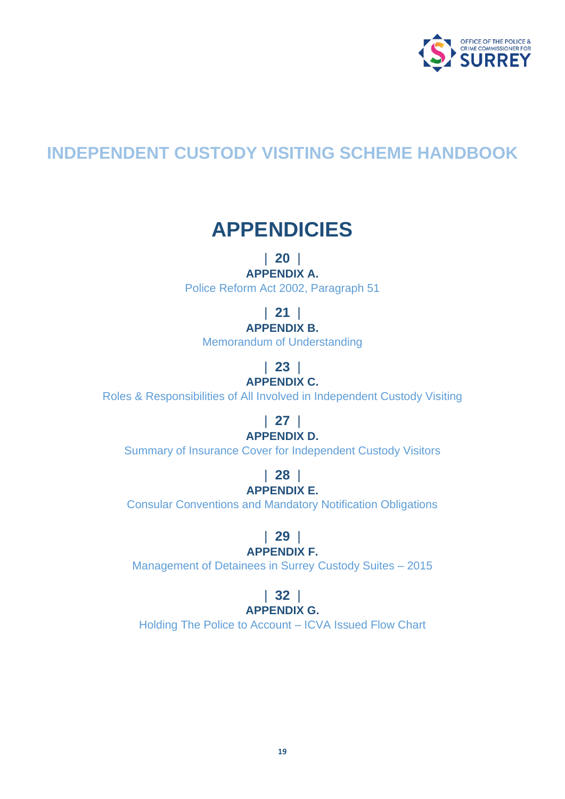

## **INDEPENDENT CUSTODY VISITING SCHEME HANDBOOK**

## **APPENDICIES**

### | **20** |

**APPENDIX A.** Police Reform Act 2002, Paragraph 51

| **21** |

### **APPENDIX B.**

Memorandum of Understanding

## | **23** |

**APPENDIX C.**

Roles & Responsibilities of All Involved in Independent Custody Visiting

### | **27** | **APPENDIX D.**

Summary of Insurance Cover for Independent Custody Visitors

#### | **28** | **APPENDIX E.**

Consular Conventions and Mandatory Notification Obligations

### | **29** |

#### **APPENDIX F.**

Management of Detainees in Surrey Custody Suites – 2015

#### | **32** | **APPENDIX G.**

Holding The Police to Account – ICVA Issued Flow Chart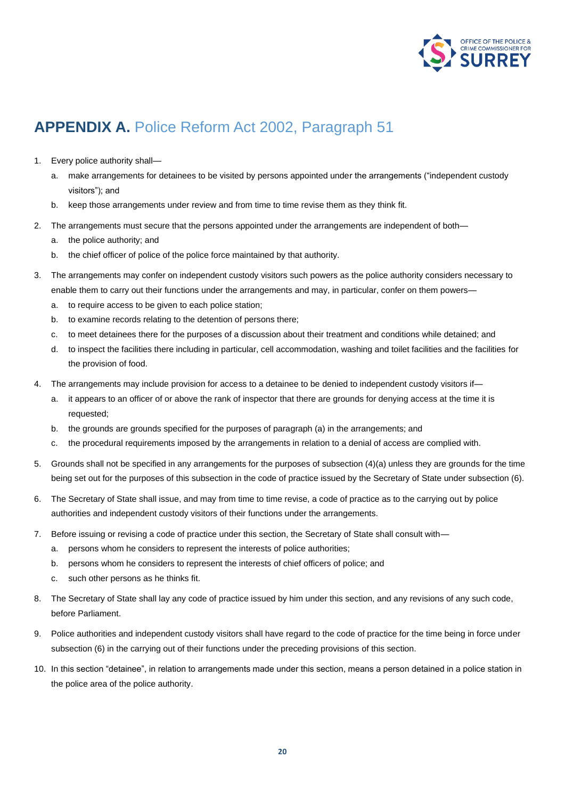

### **APPENDIX A.** Police Reform Act 2002, Paragraph 51

- 1. Every police authority shall
	- a. make arrangements for detainees to be visited by persons appointed under the arrangements ("independent custody visitors"); and
	- b. keep those arrangements under review and from time to time revise them as they think fit.
- 2. The arrangements must secure that the persons appointed under the arrangements are independent of both
	- a. the police authority; and
	- b. the chief officer of police of the police force maintained by that authority.
- 3. The arrangements may confer on independent custody visitors such powers as the police authority considers necessary to enable them to carry out their functions under the arrangements and may, in particular, confer on them powers
	- a. to require access to be given to each police station;
	- b. to examine records relating to the detention of persons there;
	- c. to meet detainees there for the purposes of a discussion about their treatment and conditions while detained; and
	- d. to inspect the facilities there including in particular, cell accommodation, washing and toilet facilities and the facilities for the provision of food.
- 4. The arrangements may include provision for access to a detainee to be denied to independent custody visitors if
	- a. it appears to an officer of or above the rank of inspector that there are grounds for denying access at the time it is requested;
	- b. the grounds are grounds specified for the purposes of paragraph (a) in the arrangements; and
	- c. the procedural requirements imposed by the arrangements in relation to a denial of access are complied with.
- 5. Grounds shall not be specified in any arrangements for the purposes of subsection (4)(a) unless they are grounds for the time being set out for the purposes of this subsection in the code of practice issued by the Secretary of State under subsection (6).
- 6. The Secretary of State shall issue, and may from time to time revise, a code of practice as to the carrying out by police authorities and independent custody visitors of their functions under the arrangements.
- 7. Before issuing or revising a code of practice under this section, the Secretary of State shall consult with
	- a. persons whom he considers to represent the interests of police authorities;
	- b. persons whom he considers to represent the interests of chief officers of police; and
	- c. such other persons as he thinks fit.
- 8. The Secretary of State shall lay any code of practice issued by him under this section, and any revisions of any such code, before Parliament.
- 9. Police authorities and independent custody visitors shall have regard to the code of practice for the time being in force under subsection (6) in the carrying out of their functions under the preceding provisions of this section.
- 10. In this section "detainee", in relation to arrangements made under this section, means a person detained in a police station in the police area of the police authority.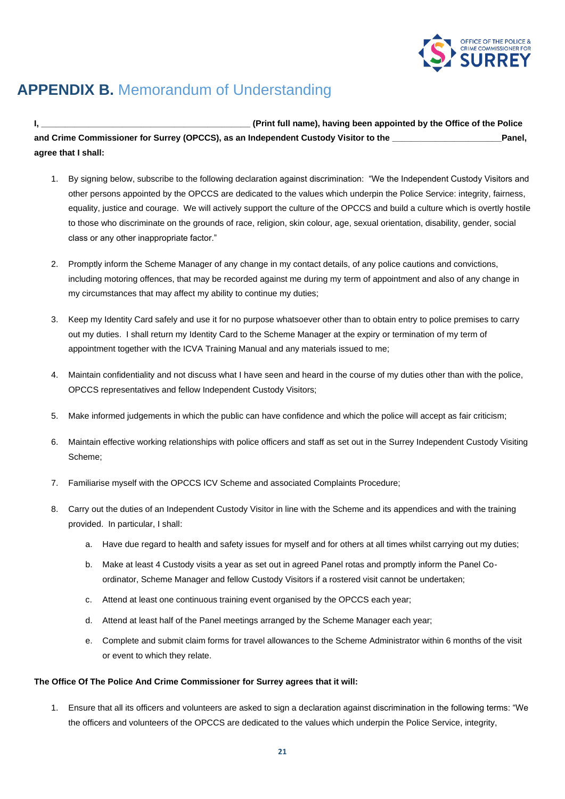

## **APPENDIX B.** Memorandum of Understanding

**I, \_\_\_\_\_\_\_\_\_\_\_\_\_\_\_\_\_\_\_\_\_\_\_\_\_\_\_\_\_\_\_\_\_\_\_\_\_\_\_\_\_\_\_\_ (Print full name), having been appointed by the Office of the Police and Crime Commissioner for Surrey (OPCCS), as an Independent Custody Visitor to the \_\_\_\_\_\_\_\_\_\_\_\_\_\_\_\_\_\_\_\_\_\_\_Panel, agree that I shall:**

- 1. By signing below, subscribe to the following declaration against discrimination: "We the Independent Custody Visitors and other persons appointed by the OPCCS are dedicated to the values which underpin the Police Service: integrity, fairness, equality, justice and courage. We will actively support the culture of the OPCCS and build a culture which is overtly hostile to those who discriminate on the grounds of race, religion, skin colour, age, sexual orientation, disability, gender, social class or any other inappropriate factor."
- 2. Promptly inform the Scheme Manager of any change in my contact details, of any police cautions and convictions, including motoring offences, that may be recorded against me during my term of appointment and also of any change in my circumstances that may affect my ability to continue my duties;
- 3. Keep my Identity Card safely and use it for no purpose whatsoever other than to obtain entry to police premises to carry out my duties. I shall return my Identity Card to the Scheme Manager at the expiry or termination of my term of appointment together with the ICVA Training Manual and any materials issued to me;
- 4. Maintain confidentiality and not discuss what I have seen and heard in the course of my duties other than with the police, OPCCS representatives and fellow Independent Custody Visitors;
- 5. Make informed judgements in which the public can have confidence and which the police will accept as fair criticism;
- 6. Maintain effective working relationships with police officers and staff as set out in the Surrey Independent Custody Visiting Scheme;
- 7. Familiarise myself with the OPCCS ICV Scheme and associated Complaints Procedure;
- 8. Carry out the duties of an Independent Custody Visitor in line with the Scheme and its appendices and with the training provided. In particular, I shall:
	- a. Have due regard to health and safety issues for myself and for others at all times whilst carrying out my duties;
	- b. Make at least 4 Custody visits a year as set out in agreed Panel rotas and promptly inform the Panel Coordinator, Scheme Manager and fellow Custody Visitors if a rostered visit cannot be undertaken;
	- c. Attend at least one continuous training event organised by the OPCCS each year;
	- d. Attend at least half of the Panel meetings arranged by the Scheme Manager each year;
	- e. Complete and submit claim forms for travel allowances to the Scheme Administrator within 6 months of the visit or event to which they relate.

#### **The Office Of The Police And Crime Commissioner for Surrey agrees that it will:**

1. Ensure that all its officers and volunteers are asked to sign a declaration against discrimination in the following terms: "We the officers and volunteers of the OPCCS are dedicated to the values which underpin the Police Service, integrity,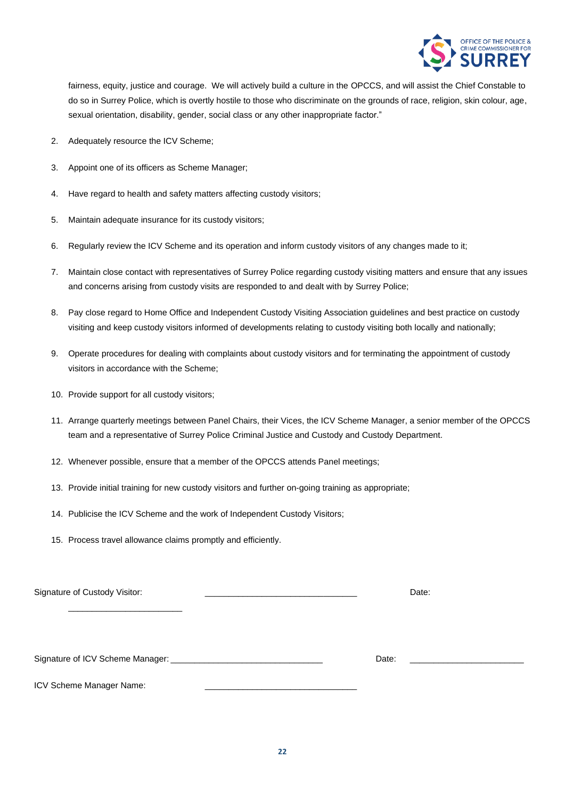

fairness, equity, justice and courage. We will actively build a culture in the OPCCS, and will assist the Chief Constable to do so in Surrey Police, which is overtly hostile to those who discriminate on the grounds of race, religion, skin colour, age, sexual orientation, disability, gender, social class or any other inappropriate factor."

- 2. Adequately resource the ICV Scheme;
- 3. Appoint one of its officers as Scheme Manager;
- 4. Have regard to health and safety matters affecting custody visitors;
- 5. Maintain adequate insurance for its custody visitors;
- 6. Regularly review the ICV Scheme and its operation and inform custody visitors of any changes made to it;
- 7. Maintain close contact with representatives of Surrey Police regarding custody visiting matters and ensure that any issues and concerns arising from custody visits are responded to and dealt with by Surrey Police;
- 8. Pay close regard to Home Office and Independent Custody Visiting Association guidelines and best practice on custody visiting and keep custody visitors informed of developments relating to custody visiting both locally and nationally;
- 9. Operate procedures for dealing with complaints about custody visitors and for terminating the appointment of custody visitors in accordance with the Scheme;
- 10. Provide support for all custody visitors;
- 11. Arrange quarterly meetings between Panel Chairs, their Vices, the ICV Scheme Manager, a senior member of the OPCCS team and a representative of Surrey Police Criminal Justice and Custody and Custody Department.
- 12. Whenever possible, ensure that a member of the OPCCS attends Panel meetings;
- 13. Provide initial training for new custody visitors and further on-going training as appropriate;
- 14. Publicise the ICV Scheme and the work of Independent Custody Visitors;
- 15. Process travel allowance claims promptly and efficiently.

| Signature of Custody Visitor: |       | Date:                                     |
|-------------------------------|-------|-------------------------------------------|
|                               |       |                                           |
|                               | Date: | <u> 1980 - Andrea Andrew Maria (h. 19</u> |
| ICV Scheme Manager Name:      |       |                                           |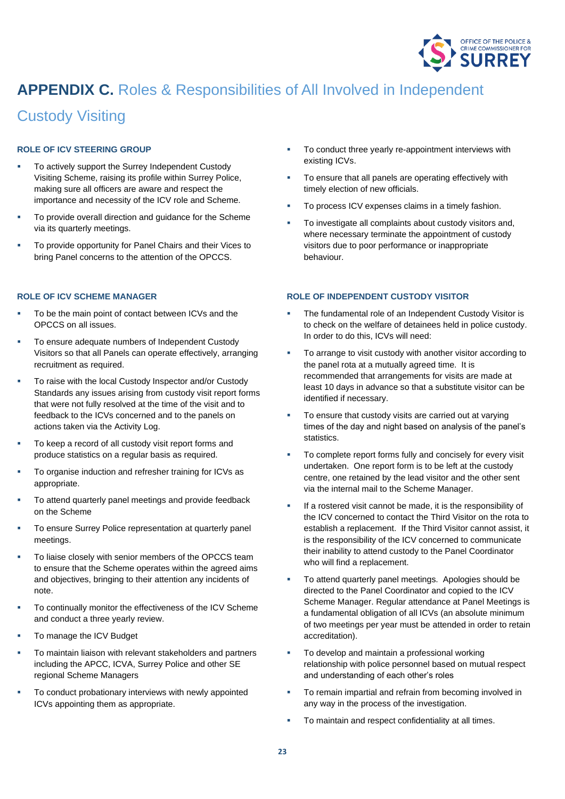

## **APPENDIX C.** Roles & Responsibilities of All Involved in Independent

### Custody Visiting

#### **ROLE OF ICV STEERING GROUP**

- To actively support the Surrey Independent Custody Visiting Scheme, raising its profile within Surrey Police, making sure all officers are aware and respect the importance and necessity of the ICV role and Scheme.
- To provide overall direction and guidance for the Scheme via its quarterly meetings.
- To provide opportunity for Panel Chairs and their Vices to bring Panel concerns to the attention of the OPCCS.

#### **ROLE OF ICV SCHEME MANAGER**

- To be the main point of contact between ICVs and the OPCCS on all issues.
- To ensure adequate numbers of Independent Custody Visitors so that all Panels can operate effectively, arranging recruitment as required.
- To raise with the local Custody Inspector and/or Custody Standards any issues arising from custody visit report forms that were not fully resolved at the time of the visit and to feedback to the ICVs concerned and to the panels on actions taken via the Activity Log.
- To keep a record of all custody visit report forms and produce statistics on a regular basis as required.
- To organise induction and refresher training for ICVs as appropriate.
- To attend quarterly panel meetings and provide feedback on the Scheme
- To ensure Surrey Police representation at quarterly panel meetings.
- To liaise closely with senior members of the OPCCS team to ensure that the Scheme operates within the agreed aims and objectives, bringing to their attention any incidents of note.
- To continually monitor the effectiveness of the ICV Scheme and conduct a three yearly review.
- To manage the ICV Budget
- To maintain liaison with relevant stakeholders and partners including the APCC, ICVA, Surrey Police and other SE regional Scheme Managers
- To conduct probationary interviews with newly appointed ICVs appointing them as appropriate.
- To conduct three yearly re-appointment interviews with existing ICVs.
- To ensure that all panels are operating effectively with timely election of new officials.
- To process ICV expenses claims in a timely fashion.
- To investigate all complaints about custody visitors and, where necessary terminate the appointment of custody visitors due to poor performance or inappropriate behaviour.

#### **ROLE OF INDEPENDENT CUSTODY VISITOR**

- The fundamental role of an Independent Custody Visitor is to check on the welfare of detainees held in police custody. In order to do this, ICVs will need:
- To arrange to visit custody with another visitor according to the panel rota at a mutually agreed time. It is recommended that arrangements for visits are made at least 10 days in advance so that a substitute visitor can be identified if necessary.
- To ensure that custody visits are carried out at varying times of the day and night based on analysis of the panel's statistics.
- To complete report forms fully and concisely for every visit undertaken. One report form is to be left at the custody centre, one retained by the lead visitor and the other sent via the internal mail to the Scheme Manager.
- If a rostered visit cannot be made, it is the responsibility of the ICV concerned to contact the Third Visitor on the rota to establish a replacement. If the Third Visitor cannot assist, it is the responsibility of the ICV concerned to communicate their inability to attend custody to the Panel Coordinator who will find a replacement.
- To attend quarterly panel meetings. Apologies should be directed to the Panel Coordinator and copied to the ICV Scheme Manager. Regular attendance at Panel Meetings is a fundamental obligation of all ICVs (an absolute minimum of two meetings per year must be attended in order to retain accreditation).
- To develop and maintain a professional working relationship with police personnel based on mutual respect and understanding of each other's roles
- To remain impartial and refrain from becoming involved in any way in the process of the investigation.
- To maintain and respect confidentiality at all times.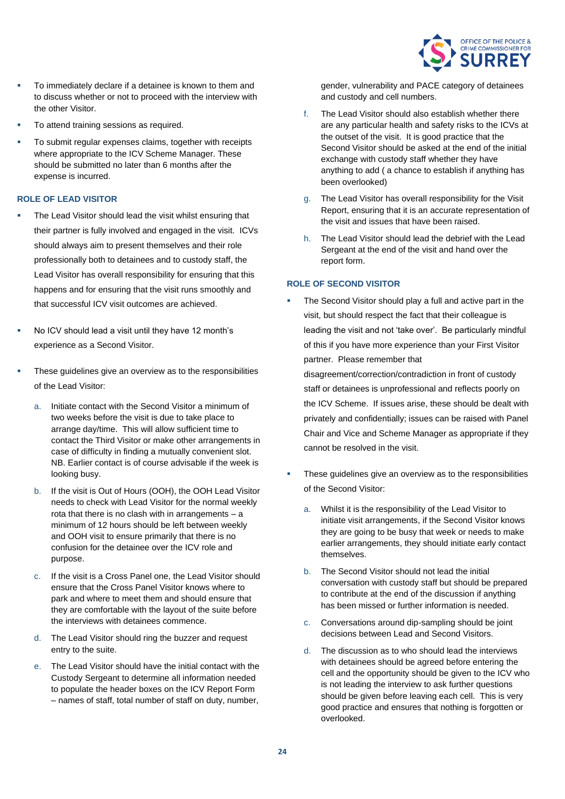

- To immediately declare if a detainee is known to them and to discuss whether or not to proceed with the interview with the other Visitor.
- To attend training sessions as required.
- To submit regular expenses claims, together with receipts where appropriate to the ICV Scheme Manager. These should be submitted no later than 6 months after the expense is incurred.

#### **ROLE OF LEAD VISITOR**

- The Lead Visitor should lead the visit whilst ensuring that their partner is fully involved and engaged in the visit. ICVs should always aim to present themselves and their role professionally both to detainees and to custody staff, the Lead Visitor has overall responsibility for ensuring that this happens and for ensuring that the visit runs smoothly and that successful ICV visit outcomes are achieved.
- No ICV should lead a visit until they have 12 month's experience as a Second Visitor.
- These guidelines give an overview as to the responsibilities of the Lead Visitor:
	- a. Initiate contact with the Second Visitor a minimum of two weeks before the visit is due to take place to arrange day/time. This will allow sufficient time to contact the Third Visitor or make other arrangements in case of difficulty in finding a mutually convenient slot. NB. Earlier contact is of course advisable if the week is looking busy.
	- b. If the visit is Out of Hours (OOH), the OOH Lead Visitor needs to check with Lead Visitor for the normal weekly rota that there is no clash with in arrangements – a minimum of 12 hours should be left between weekly and OOH visit to ensure primarily that there is no confusion for the detainee over the ICV role and purpose.
	- c. If the visit is a Cross Panel one, the Lead Visitor should ensure that the Cross Panel Visitor knows where to park and where to meet them and should ensure that they are comfortable with the layout of the suite before the interviews with detainees commence.
	- d. The Lead Visitor should ring the buzzer and request entry to the suite.
	- e. The Lead Visitor should have the initial contact with the Custody Sergeant to determine all information needed to populate the header boxes on the ICV Report Form – names of staff, total number of staff on duty, number,

gender, vulnerability and PACE category of detainees and custody and cell numbers.

- f. The Lead Visitor should also establish whether there are any particular health and safety risks to the ICVs at the outset of the visit. It is good practice that the Second Visitor should be asked at the end of the initial exchange with custody staff whether they have anything to add ( a chance to establish if anything has been overlooked)
- g. The Lead Visitor has overall responsibility for the Visit Report, ensuring that it is an accurate representation of the visit and issues that have been raised.
- h. The Lead Visitor should lead the debrief with the Lead Sergeant at the end of the visit and hand over the report form.

#### **ROLE OF SECOND VISITOR**

The Second Visitor should play a full and active part in the visit, but should respect the fact that their colleague is leading the visit and not 'take over'. Be particularly mindful of this if you have more experience than your First Visitor partner. Please remember that

disagreement/correction/contradiction in front of custody staff or detainees is unprofessional and reflects poorly on the ICV Scheme. If issues arise, these should be dealt with privately and confidentially; issues can be raised with Panel Chair and Vice and Scheme Manager as appropriate if they cannot be resolved in the visit.

- These guidelines give an overview as to the responsibilities of the Second Visitor:
	- a. Whilst it is the responsibility of the Lead Visitor to initiate visit arrangements, if the Second Visitor knows they are going to be busy that week or needs to make earlier arrangements, they should initiate early contact themselves.
	- b. The Second Visitor should not lead the initial conversation with custody staff but should be prepared to contribute at the end of the discussion if anything has been missed or further information is needed.
	- c. Conversations around dip-sampling should be joint decisions between Lead and Second Visitors.
	- d. The discussion as to who should lead the interviews with detainees should be agreed before entering the cell and the opportunity should be given to the ICV who is not leading the interview to ask further questions should be given before leaving each cell. This is very good practice and ensures that nothing is forgotten or overlooked.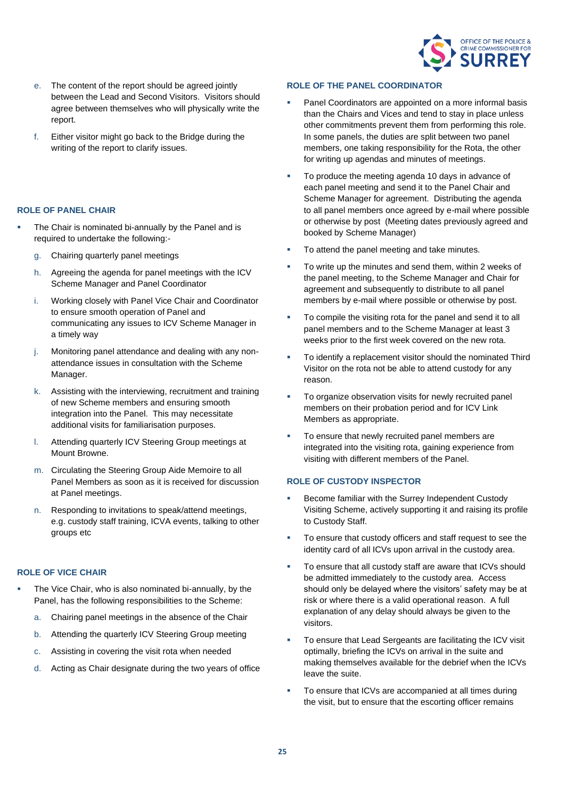

- e. The content of the report should be agreed jointly between the Lead and Second Visitors. Visitors should agree between themselves who will physically write the report.
- f. Either visitor might go back to the Bridge during the writing of the report to clarify issues.

#### **ROLE OF PANEL CHAIR**

- The Chair is nominated bi-annually by the Panel and is required to undertake the following:
	- g. Chairing quarterly panel meetings
	- h. Agreeing the agenda for panel meetings with the ICV Scheme Manager and Panel Coordinator
	- i. Working closely with Panel Vice Chair and Coordinator to ensure smooth operation of Panel and communicating any issues to ICV Scheme Manager in a timely way
	- j. Monitoring panel attendance and dealing with any nonattendance issues in consultation with the Scheme Manager.
	- k. Assisting with the interviewing, recruitment and training of new Scheme members and ensuring smooth integration into the Panel. This may necessitate additional visits for familiarisation purposes.
	- l. Attending quarterly ICV Steering Group meetings at Mount Browne.
	- m. Circulating the Steering Group Aide Memoire to all Panel Members as soon as it is received for discussion at Panel meetings.
	- n. Responding to invitations to speak/attend meetings, e.g. custody staff training, ICVA events, talking to other groups etc

#### **ROLE OF VICE CHAIR**

- The Vice Chair, who is also nominated bi-annually, by the Panel, has the following responsibilities to the Scheme:
	- a. Chairing panel meetings in the absence of the Chair
	- b. Attending the quarterly ICV Steering Group meeting
	- c. Assisting in covering the visit rota when needed
	- d. Acting as Chair designate during the two years of office

#### **ROLE OF THE PANEL COORDINATOR**

- Panel Coordinators are appointed on a more informal basis than the Chairs and Vices and tend to stay in place unless other commitments prevent them from performing this role. In some panels, the duties are split between two panel members, one taking responsibility for the Rota, the other for writing up agendas and minutes of meetings.
- To produce the meeting agenda 10 days in advance of each panel meeting and send it to the Panel Chair and Scheme Manager for agreement. Distributing the agenda to all panel members once agreed by e-mail where possible or otherwise by post (Meeting dates previously agreed and booked by Scheme Manager)
- To attend the panel meeting and take minutes.
- To write up the minutes and send them, within 2 weeks of the panel meeting, to the Scheme Manager and Chair for agreement and subsequently to distribute to all panel members by e-mail where possible or otherwise by post.
- To compile the visiting rota for the panel and send it to all panel members and to the Scheme Manager at least 3 weeks prior to the first week covered on the new rota.
- To identify a replacement visitor should the nominated Third Visitor on the rota not be able to attend custody for any reason.
- To organize observation visits for newly recruited panel members on their probation period and for ICV Link Members as appropriate.
- To ensure that newly recruited panel members are integrated into the visiting rota, gaining experience from visiting with different members of the Panel.

#### **ROLE OF CUSTODY INSPECTOR**

- Become familiar with the Surrey Independent Custody Visiting Scheme, actively supporting it and raising its profile to Custody Staff.
- To ensure that custody officers and staff request to see the identity card of all ICVs upon arrival in the custody area.
- To ensure that all custody staff are aware that ICVs should be admitted immediately to the custody area. Access should only be delayed where the visitors' safety may be at risk or where there is a valid operational reason. A full explanation of any delay should always be given to the visitors.
- To ensure that Lead Sergeants are facilitating the ICV visit optimally, briefing the ICVs on arrival in the suite and making themselves available for the debrief when the ICVs leave the suite.
- To ensure that ICVs are accompanied at all times during the visit, but to ensure that the escorting officer remains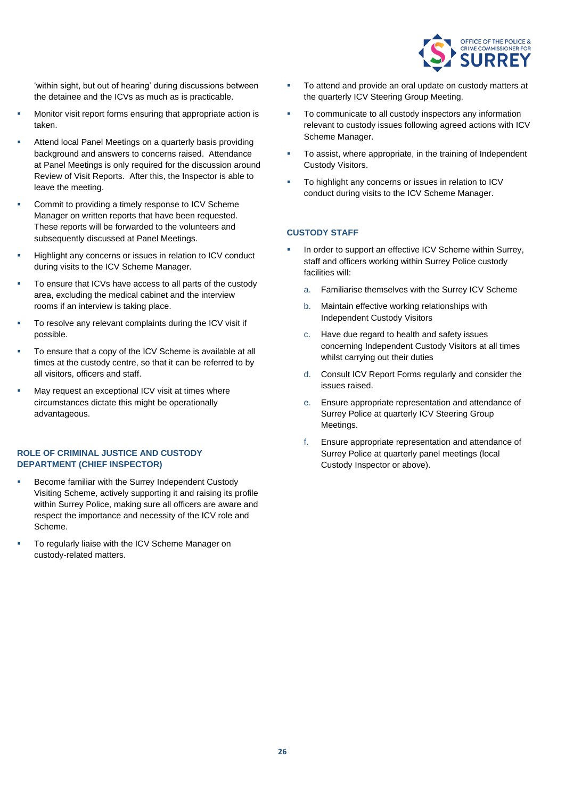

'within sight, but out of hearing' during discussions between the detainee and the ICVs as much as is practicable.

- Monitor visit report forms ensuring that appropriate action is taken.
- Attend local Panel Meetings on a quarterly basis providing background and answers to concerns raised. Attendance at Panel Meetings is only required for the discussion around Review of Visit Reports. After this, the Inspector is able to leave the meeting.
- Commit to providing a timely response to ICV Scheme Manager on written reports that have been requested. These reports will be forwarded to the volunteers and subsequently discussed at Panel Meetings.
- Highlight any concerns or issues in relation to ICV conduct during visits to the ICV Scheme Manager.
- To ensure that ICVs have access to all parts of the custody area, excluding the medical cabinet and the interview rooms if an interview is taking place.
- To resolve any relevant complaints during the ICV visit if possible.
- To ensure that a copy of the ICV Scheme is available at all times at the custody centre, so that it can be referred to by all visitors, officers and staff.
- May request an exceptional ICV visit at times where circumstances dictate this might be operationally advantageous.

#### **ROLE OF CRIMINAL JUSTICE AND CUSTODY DEPARTMENT (CHIEF INSPECTOR)**

- Become familiar with the Surrey Independent Custody Visiting Scheme, actively supporting it and raising its profile within Surrey Police, making sure all officers are aware and respect the importance and necessity of the ICV role and Scheme.
- To regularly liaise with the ICV Scheme Manager on custody-related matters.
- To attend and provide an oral update on custody matters at the quarterly ICV Steering Group Meeting.
- To communicate to all custody inspectors any information relevant to custody issues following agreed actions with ICV Scheme Manager.
- To assist, where appropriate, in the training of Independent Custody Visitors.
- To highlight any concerns or issues in relation to ICV conduct during visits to the ICV Scheme Manager.

#### **CUSTODY STAFF**

- In order to support an effective ICV Scheme within Surrey, staff and officers working within Surrey Police custody facilities will:
	- a. Familiarise themselves with the Surrey ICV Scheme
	- b. Maintain effective working relationships with Independent Custody Visitors
	- c. Have due regard to health and safety issues concerning Independent Custody Visitors at all times whilst carrying out their duties
	- d. Consult ICV Report Forms regularly and consider the issues raised.
	- e. Ensure appropriate representation and attendance of Surrey Police at quarterly ICV Steering Group Meetings.
	- f. Ensure appropriate representation and attendance of Surrey Police at quarterly panel meetings (local Custody Inspector or above).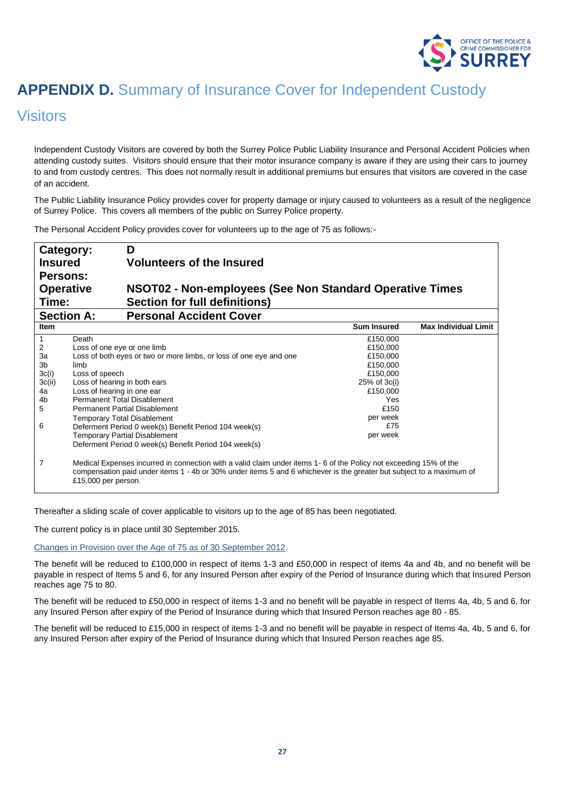

## **APPENDIX D.** Summary of Insurance Cover for Independent Custody

### Visitors

Independent Custody Visitors are covered by both the Surrey Police Public Liability Insurance and Personal Accident Policies when attending custody suites. Visitors should ensure that their motor insurance company is aware if they are using their cars to journey to and from custody centres. This does not normally result in additional premiums but ensures that visitors are covered in the case of an accident.

The Public Liability Insurance Policy provides cover for property damage or injury caused to volunteers as a result of the negligence of Surrey Police. This covers all members of the public on Surrey Police property.

The Personal Accident Policy provides cover for volunteers up to the age of 75 as follows:-

| Category:        | D                                                                                                                                                                                                                                                                |                    |                             |
|------------------|------------------------------------------------------------------------------------------------------------------------------------------------------------------------------------------------------------------------------------------------------------------|--------------------|-----------------------------|
| <b>Insured</b>   | <b>Volunteers of the Insured</b>                                                                                                                                                                                                                                 |                    |                             |
| Persons:         |                                                                                                                                                                                                                                                                  |                    |                             |
| <b>Operative</b> | NSOT02 - Non-employees (See Non Standard Operative Times                                                                                                                                                                                                         |                    |                             |
| Time:            | <b>Section for full definitions)</b>                                                                                                                                                                                                                             |                    |                             |
|                  | <b>Section A:</b><br><b>Personal Accident Cover</b>                                                                                                                                                                                                              |                    |                             |
| <b>Item</b>      |                                                                                                                                                                                                                                                                  | <b>Sum Insured</b> | <b>Max Individual Limit</b> |
|                  | Death                                                                                                                                                                                                                                                            | £150,000           |                             |
| 2                | Loss of one eye or one limb                                                                                                                                                                                                                                      | £150,000           |                             |
| За               | Loss of both eyes or two or more limbs, or loss of one eye and one                                                                                                                                                                                               | £150,000           |                             |
| 3b               | limb                                                                                                                                                                                                                                                             | £150,000           |                             |
| 3c(i)            | Loss of speech                                                                                                                                                                                                                                                   | £150,000           |                             |
| 3c(ii)           | Loss of hearing in both ears                                                                                                                                                                                                                                     | $25%$ of $3c(i)$   |                             |
| 4a               | Loss of hearing in one ear                                                                                                                                                                                                                                       | £150,000           |                             |
| 4b               | <b>Permanent Total Disablement</b>                                                                                                                                                                                                                               | Yes                |                             |
| 5                | <b>Permanent Partial Disablement</b>                                                                                                                                                                                                                             | £150               |                             |
|                  | <b>Temporary Total Disablement</b>                                                                                                                                                                                                                               | per week           |                             |
| 6                | Deferment Period 0 week(s) Benefit Period 104 week(s)                                                                                                                                                                                                            | £75                |                             |
|                  | <b>Temporary Partial Disablement</b>                                                                                                                                                                                                                             | per week           |                             |
|                  | Deferment Period 0 week(s) Benefit Period 104 week(s)                                                                                                                                                                                                            |                    |                             |
| 7                | Medical Expenses incurred in connection with a valid claim under items 1-6 of the Policy not exceeding 15% of the<br>compensation paid under items 1 - 4b or 30% under items 5 and 6 whichever is the greater but subject to a maximum of<br>£15,000 per person. |                    |                             |

Thereafter a sliding scale of cover applicable to visitors up to the age of 85 has been negotiated.

The current policy is in place until 30 September 2015.

Changes in Provision over the Age of 75 as of 30 September 2012

The benefit will be reduced to £100,000 in respect of items 1-3 and £50,000 in respect of items 4a and 4b, and no benefit will be payable in respect of Items 5 and 6, for any Insured Person after expiry of the Period of Insurance during which that Insured Person reaches age 75 to 80.

The benefit will be reduced to £50,000 in respect of items 1-3 and no benefit will be payable in respect of Items 4a, 4b, 5 and 6, for any Insured Person after expiry of the Period of Insurance during which that Insured Person reaches age 80 - 85.

The benefit will be reduced to £15,000 in respect of items 1-3 and no benefit will be payable in respect of Items 4a, 4b, 5 and 6, for any Insured Person after expiry of the Period of Insurance during which that Insured Person reaches age 85.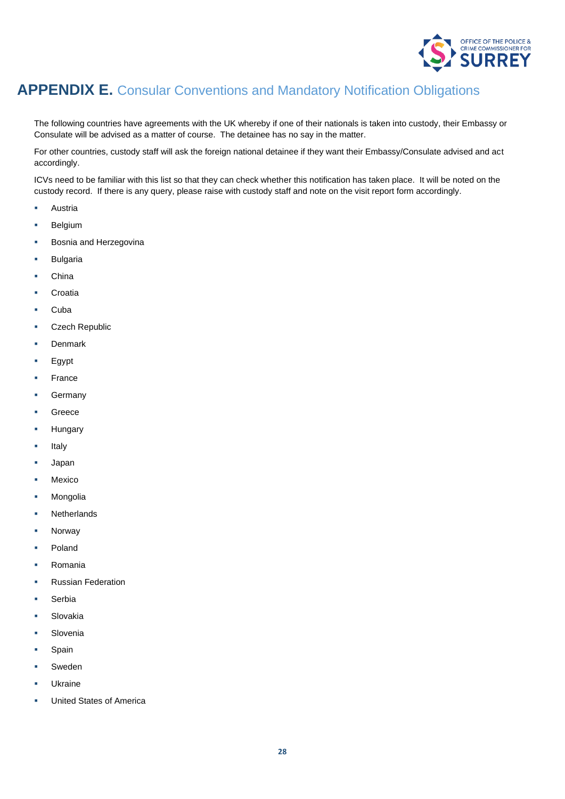

### **APPENDIX E.** Consular Conventions and Mandatory Notification Obligations

The following countries have agreements with the UK whereby if one of their nationals is taken into custody, their Embassy or Consulate will be advised as a matter of course. The detainee has no say in the matter.

For other countries, custody staff will ask the foreign national detainee if they want their Embassy/Consulate advised and act accordingly.

ICVs need to be familiar with this list so that they can check whether this notification has taken place. It will be noted on the custody record. If there is any query, please raise with custody staff and note on the visit report form accordingly.

- Austria
- **Belgium**
- Bosnia and Herzegovina
- **Bulgaria**
- **China**
- Croatia
- Cuba
- **Czech Republic**
- **Denmark**
- **Egypt**
- **France**
- **Germany**
- **Greece**
- **Hungary**
- **Italy**
- **Japan**
- Mexico
- **Mongolia**
- **Netherlands**
- **Norway**
- Poland
- **Romania**
- **Russian Federation**
- Serbia
- Slovakia
- Slovenia
- Spain
- **Sweden**
- **Ukraine**
- **United States of America**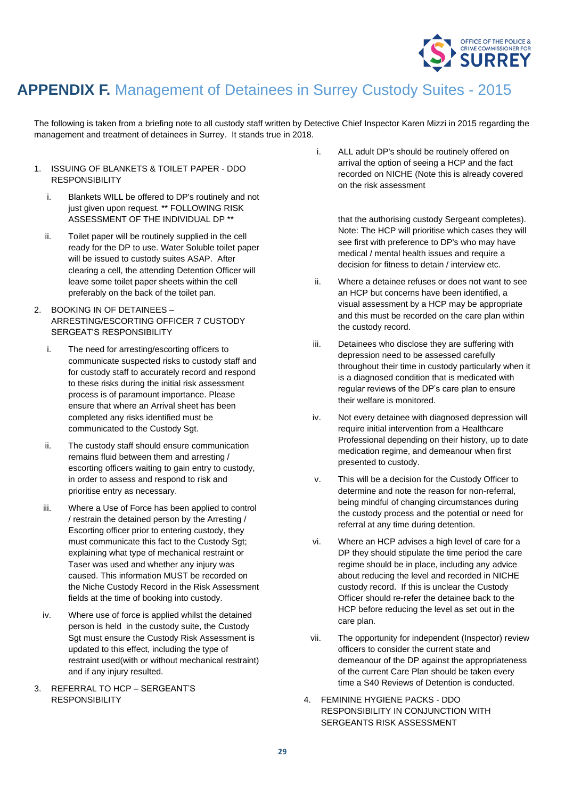

### **APPENDIX F.** Management of Detainees in Surrey Custody Suites - 2015

The following is taken from a briefing note to all custody staff written by Detective Chief Inspector Karen Mizzi in 2015 regarding the management and treatment of detainees in Surrey. It stands true in 2018.

- 1. ISSUING OF BLANKETS & TOILET PAPER DDO RESPONSIBILITY
	- i. Blankets WILL be offered to DP's routinely and not just given upon request. \*\* FOLLOWING RISK ASSESSMENT OF THE INDIVIDUAL DP \*\*
	- ii. Toilet paper will be routinely supplied in the cell ready for the DP to use. Water Soluble toilet paper will be issued to custody suites ASAP. After clearing a cell, the attending Detention Officer will leave some toilet paper sheets within the cell preferably on the back of the toilet pan.
- 2. BOOKING IN OF DETAINEES ARRESTING/ESCORTING OFFICER 7 CUSTODY SERGEAT'S RESPONSIBILITY
	- i. The need for arresting/escorting officers to communicate suspected risks to custody staff and for custody staff to accurately record and respond to these risks during the initial risk assessment process is of paramount importance. Please ensure that where an Arrival sheet has been completed any risks identified must be communicated to the Custody Sgt.
	- ii. The custody staff should ensure communication remains fluid between them and arresting / escorting officers waiting to gain entry to custody, in order to assess and respond to risk and prioritise entry as necessary.
	- iii. Where a Use of Force has been applied to control / restrain the detained person by the Arresting / Escorting officer prior to entering custody, they must communicate this fact to the Custody Sgt; explaining what type of mechanical restraint or Taser was used and whether any injury was caused. This information MUST be recorded on the Niche Custody Record in the Risk Assessment fields at the time of booking into custody.
	- iv. Where use of force is applied whilst the detained person is held in the custody suite, the Custody Sgt must ensure the Custody Risk Assessment is updated to this effect, including the type of restraint used(with or without mechanical restraint) and if any injury resulted.
- 3. REFERRAL TO HCP SERGEANT'S **RESPONSIBILITY**

i. ALL adult DP's should be routinely offered on arrival the option of seeing a HCP and the fact recorded on NICHE (Note this is already covered on the risk assessment

that the authorising custody Sergeant completes). Note: The HCP will prioritise which cases they will see first with preference to DP's who may have medical / mental health issues and require a decision for fitness to detain / interview etc.

- ii. Where a detainee refuses or does not want to see an HCP but concerns have been identified, a visual assessment by a HCP may be appropriate and this must be recorded on the care plan within the custody record.
- iii. Detainees who disclose they are suffering with depression need to be assessed carefully throughout their time in custody particularly when it is a diagnosed condition that is medicated with regular reviews of the DP's care plan to ensure their welfare is monitored.
- iv. Not every detainee with diagnosed depression will require initial intervention from a Healthcare Professional depending on their history, up to date medication regime, and demeanour when first presented to custody.
- v. This will be a decision for the Custody Officer to determine and note the reason for non-referral, being mindful of changing circumstances during the custody process and the potential or need for referral at any time during detention.
- vi. Where an HCP advises a high level of care for a DP they should stipulate the time period the care regime should be in place, including any advice about reducing the level and recorded in NICHE custody record. If this is unclear the Custody Officer should re-refer the detainee back to the HCP before reducing the level as set out in the care plan.
- vii. The opportunity for independent (Inspector) review officers to consider the current state and demeanour of the DP against the appropriateness of the current Care Plan should be taken every time a S40 Reviews of Detention is conducted.
- 4. FEMININE HYGIENE PACKS DDO RESPONSIBILITY IN CONJUNCTION WITH SERGEANTS RISK ASSESSMENT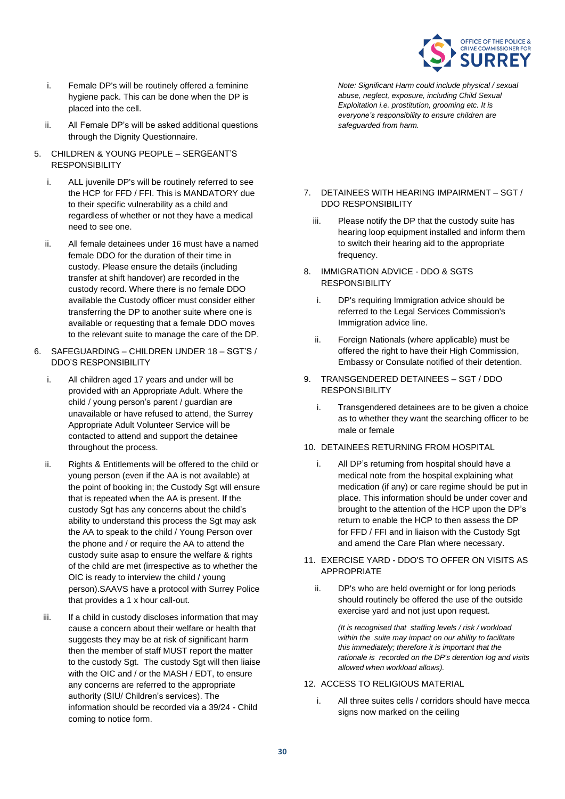

- i. Female DP's will be routinely offered a feminine hygiene pack. This can be done when the DP is placed into the cell.
- ii. All Female DP's will be asked additional questions through the Dignity Questionnaire.
- 5. CHILDREN & YOUNG PEOPLE SERGEANT'S RESPONSIBILITY
	- i. ALL juvenile DP's will be routinely referred to see the HCP for FFD / FFI. This is MANDATORY due to their specific vulnerability as a child and regardless of whether or not they have a medical need to see one.
	- ii. All female detainees under 16 must have a named female DDO for the duration of their time in custody. Please ensure the details (including transfer at shift handover) are recorded in the custody record. Where there is no female DDO available the Custody officer must consider either transferring the DP to another suite where one is available or requesting that a female DDO moves to the relevant suite to manage the care of the DP.
- 6. SAFEGUARDING CHILDREN UNDER 18 SGT'S / DDO'S RESPONSIBILITY
	- i. All children aged 17 years and under will be provided with an Appropriate Adult. Where the child / young person's parent / guardian are unavailable or have refused to attend, the Surrey Appropriate Adult Volunteer Service will be contacted to attend and support the detainee throughout the process.
	- ii. Rights & Entitlements will be offered to the child or young person (even if the AA is not available) at the point of booking in; the Custody Sgt will ensure that is repeated when the AA is present. If the custody Sgt has any concerns about the child's ability to understand this process the Sgt may ask the AA to speak to the child / Young Person over the phone and / or require the AA to attend the custody suite asap to ensure the welfare & rights of the child are met (irrespective as to whether the OIC is ready to interview the child / young person).SAAVS have a protocol with Surrey Police that provides a 1 x hour call-out.
	- iii. If a child in custody discloses information that may cause a concern about their welfare or health that suggests they may be at risk of significant harm then the member of staff MUST report the matter to the custody Sgt. The custody Sgt will then liaise with the OIC and / or the MASH / EDT, to ensure any concerns are referred to the appropriate authority (SIU/ Children's services). The information should be recorded via a 39/24 - Child coming to notice form.

*Note: Significant Harm could include physical / sexual abuse, neglect, exposure, including Child Sexual Exploitation i.e. prostitution, grooming etc. It is everyone's responsibility to ensure children are safeguarded from harm.*

- 7. DETAINEES WITH HEARING IMPAIRMENT SGT / DDO RESPONSIBILITY
	- iii. Please notify the DP that the custody suite has hearing loop equipment installed and inform them to switch their hearing aid to the appropriate frequency.
- 8. IMMIGRATION ADVICE DDO & SGTS **RESPONSIBILITY** 
	- i. DP's requiring Immigration advice should be referred to the Legal Services Commission's Immigration advice line.
	- ii. Foreign Nationals (where applicable) must be offered the right to have their High Commission, Embassy or Consulate notified of their detention.
- 9. TRANSGENDERED DETAINEES SGT / DDO **RESPONSIBILITY** 
	- i. Transgendered detainees are to be given a choice as to whether they want the searching officer to be male or female

#### 10. DETAINEES RETURNING FROM HOSPITAL

- i. All DP's returning from hospital should have a medical note from the hospital explaining what medication (if any) or care regime should be put in place. This information should be under cover and brought to the attention of the HCP upon the DP's return to enable the HCP to then assess the DP for FFD / FFI and in liaison with the Custody Sgt and amend the Care Plan where necessary.
- 11. EXERCISE YARD DDO'S TO OFFER ON VISITS AS APPROPRIATE
	- ii. DP's who are held overnight or for long periods should routinely be offered the use of the outside exercise yard and not just upon request.

*(It is recognised that staffing levels / risk / workload within the suite may impact on our ability to facilitate this immediately; therefore it is important that the rationale is recorded on the DP's detention log and visits allowed when workload allows).*

#### 12. ACCESS TO RELIGIOUS MATERIAL

i. All three suites cells / corridors should have mecca signs now marked on the ceiling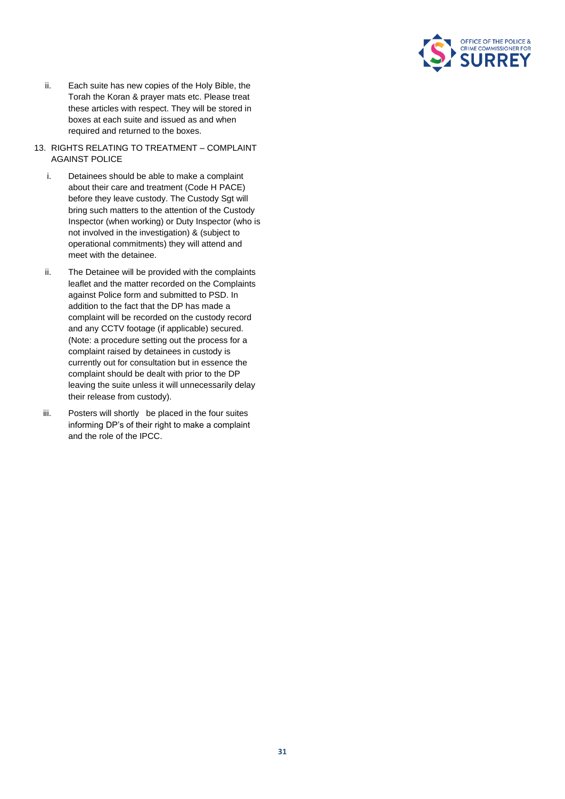

- ii. Each suite has new copies of the Holy Bible, the Torah the Koran & prayer mats etc. Please treat these articles with respect. They will be stored in boxes at each suite and issued as and when required and returned to the boxes.
- 13. RIGHTS RELATING TO TREATMENT COMPLAINT AGAINST POLICE
	- i. Detainees should be able to make a complaint about their care and treatment (Code H PACE) before they leave custody. The Custody Sgt will bring such matters to the attention of the Custody Inspector (when working) or Duty Inspector (who is not involved in the investigation) & (subject to operational commitments) they will attend and meet with the detainee.
	- ii. The Detainee will be provided with the complaints leaflet and the matter recorded on the Complaints against Police form and submitted to PSD. In addition to the fact that the DP has made a complaint will be recorded on the custody record and any CCTV footage (if applicable) secured. (Note: a procedure setting out the process for a complaint raised by detainees in custody is currently out for consultation but in essence the complaint should be dealt with prior to the DP leaving the suite unless it will unnecessarily delay their release from custody).
	- iii. Posters will shortly be placed in the four suites informing DP's of their right to make a complaint and the role of the IPCC.